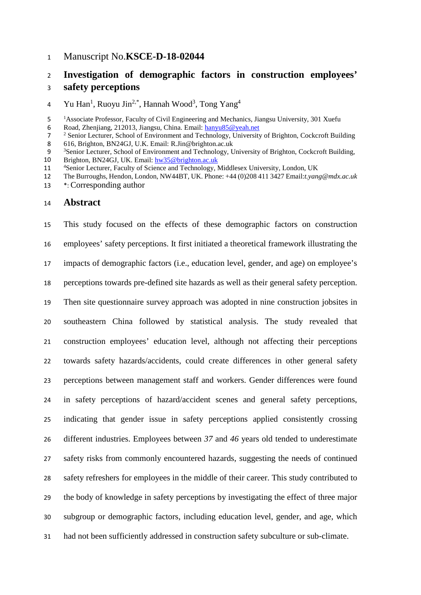## Manuscript No.**KSCE-D-18-02044**

# **Investigation of demographic factors in construction employees' safety perceptions**

4 Yu Han<sup>1</sup>, Ruoyu Jin<sup>2,\*</sup>, Hannah Wood<sup>3</sup>, Tong Yang<sup>4</sup>

6 Road, Zhenjiang, 212013, Jiangsu, China. Email[: hanyu85@yeah.net](mailto:hanyu85@yeah.net)<br>
<sup>2</sup> Senior Lecturer. School of Environment and Technology. University

616, Brighton, BN24GJ, U.K. Email[: R.Jin@brighton.ac.uk](mailto:R.Jin@brighton.ac.uk)

- The Burroughs, Hendon, London, NW44BT, UK. Phone: +44 (0)208 411 3427 Email:*[t.yang@mdx.ac.uk](mailto:t.yang@mdx.ac.uk)*
- \*: Corresponding author

### **Abstract**

 This study focused on the effects of these demographic factors on construction employees' safety perceptions. It first initiated a theoretical framework illustrating the impacts of demographic factors (i.e., education level, gender, and age) on employee's perceptions towards pre-defined site hazards as well as their general safety perception. Then site questionnaire survey approach was adopted in nine construction jobsites in southeastern China followed by statistical analysis. The study revealed that construction employees' education level, although not affecting their perceptions towards safety hazards/accidents, could create differences in other general safety perceptions between management staff and workers. Gender differences were found in safety perceptions of hazard/accident scenes and general safety perceptions, indicating that gender issue in safety perceptions applied consistently crossing different industries. Employees between *37* and *46* years old tended to underestimate safety risks from commonly encountered hazards, suggesting the needs of continued safety refreshers for employees in the middle of their career. This study contributed to the body of knowledge in safety perceptions by investigating the effect of three major subgroup or demographic factors, including education level, gender, and age, which had not been sufficiently addressed in construction safety subculture or sub-climate.

 <sup>1</sup> <sup>1</sup> Associate Professor, Faculty of Civil Engineering and Mechanics, Jiangsu University, 301 Xuefu

<sup>&</sup>lt;sup>2</sup> Senior Lecturer, School of Environment and Technology, University of Brighton, Cockcroft Building<br>
8 616, Brighton, BN24GJ, U.K. Email: R.Jin@brighton.ac.uk

<sup>&</sup>lt;sup>3</sup> Senior Lecturer, School of Environment and Technology, University of Brighton, Cockcroft Building,<br>10 Brighton, BN24GJ, UK. Email:  $hw35@originon.ac.uk$ Brighton, BN24GJ, UK. Email: [hw35@brighton.ac.uk](mailto:hw35@brighton.ac.uk)

<sup>&</sup>lt;sup>4</sup> 11 <sup>4</sup> Senior Lecturer, Faculty of Science and Technology, Middlesex University, London, UK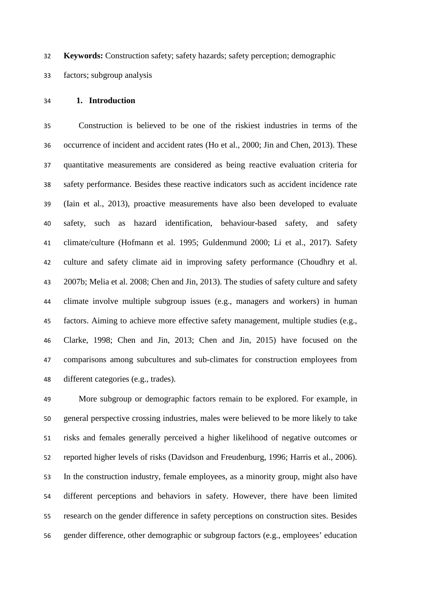**Keywords:** Construction safety; safety hazards; safety perception; demographic

factors; subgroup analysis

## **1. Introduction**

 Construction is believed to be one of the riskiest industries in terms of the occurrence of incident and accident rates (Ho et al., 2000; Jin and Chen, 2013). These quantitative measurements are considered as being reactive evaluation criteria for safety performance. Besides these reactive indicators such as accident incidence rate (Iain et al., 2013), proactive measurements have also been developed to evaluate safety, such as hazard identification, behaviour-based safety, and safety climate/culture (Hofmann et al. 1995; Guldenmund 2000; Li et al., 2017). Safety culture and safety climate aid in improving safety performance (Choudhry et al. 2007b; Melia et al. 2008; Chen and Jin, 2013). The studies of safety culture and safety climate involve multiple subgroup issues (e.g., managers and workers) in human factors. Aiming to achieve more effective safety management, multiple studies (e.g., Clarke, 1998; Chen and Jin, 2013; Chen and Jin, 2015) have focused on the comparisons among subcultures and sub-climates for construction employees from different categories (e.g., trades).

 More subgroup or demographic factors remain to be explored. For example, in general perspective crossing industries, males were believed to be more likely to take risks and females generally perceived a higher likelihood of negative outcomes or reported higher levels of risks (Davidson and Freudenburg, 1996; Harris et al., 2006). In the construction industry, female employees, as a minority group, might also have different perceptions and behaviors in safety. However, there have been limited research on the gender difference in safety perceptions on construction sites. Besides gender difference, other demographic or subgroup factors (e.g., employees' education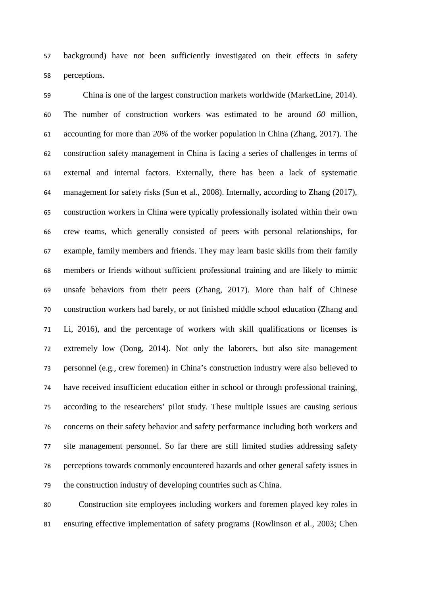background) have not been sufficiently investigated on their effects in safety perceptions.

 China is one of the largest construction markets worldwide (MarketLine, 2014). The number of construction workers was estimated to be around *60* million, accounting for more than *20%* of the worker population in China (Zhang, 2017). The construction safety management in China is facing a series of challenges in terms of external and internal factors. Externally, there has been a lack of systematic management for safety risks (Sun et al., 2008). Internally, according to Zhang (2017), construction workers in China were typically professionally isolated within their own crew teams, which generally consisted of peers with personal relationships, for example, family members and friends. They may learn basic skills from their family members or friends without sufficient professional training and are likely to mimic unsafe behaviors from their peers (Zhang, 2017). More than half of Chinese construction workers had barely, or not finished middle school education (Zhang and Li, 2016), and the percentage of workers with skill qualifications or licenses is extremely low (Dong, 2014). Not only the laborers, but also site management personnel (e.g., crew foremen) in China's construction industry were also believed to have received insufficient education either in school or through professional training, according to the researchers' pilot study. These multiple issues are causing serious concerns on their safety behavior and safety performance including both workers and site management personnel. So far there are still limited studies addressing safety perceptions towards commonly encountered hazards and other general safety issues in the construction industry of developing countries such as China.

 Construction site employees including workers and foremen played key roles in ensuring effective implementation of safety programs (Rowlinson et al., 2003; Chen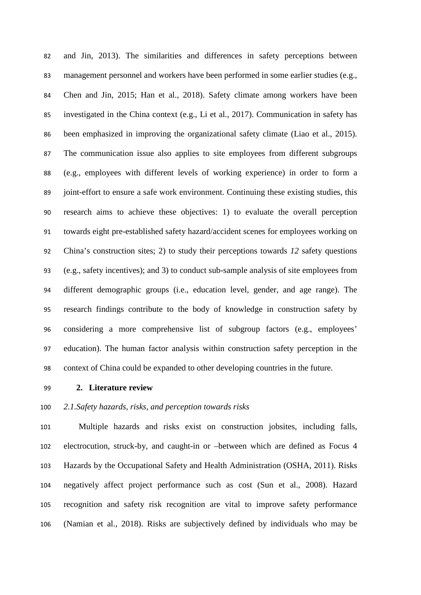and Jin, 2013). The similarities and differences in safety perceptions between management personnel and workers have been performed in some earlier studies (e.g., Chen and Jin, 2015; Han et al., 2018). Safety climate among workers have been investigated in the China context (e.g., Li et al., 2017). Communication in safety has been emphasized in improving the organizational safety climate (Liao et al., 2015). The communication issue also applies to site employees from different subgroups (e.g., employees with different levels of working experience) in order to form a joint-effort to ensure a safe work environment. Continuing these existing studies, this research aims to achieve these objectives: 1) to evaluate the overall perception towards eight pre-established safety hazard/accident scenes for employees working on China's construction sites; 2) to study their perceptions towards *12* safety questions (e.g., safety incentives); and 3) to conduct sub-sample analysis of site employees from different demographic groups (i.e., education level, gender, and age range). The research findings contribute to the body of knowledge in construction safety by considering a more comprehensive list of subgroup factors (e.g., employees' education). The human factor analysis within construction safety perception in the context of China could be expanded to other developing countries in the future.

## **2. Literature review**

## *2.1.Safety hazards, risks, and perception towards risks*

 Multiple hazards and risks exist on construction jobsites, including falls, electrocution, struck-by, and caught-in or –between which are defined as Focus 4 Hazards by the Occupational Safety and Health Administration (OSHA, 2011). Risks negatively affect project performance such as cost (Sun et al., 2008). Hazard recognition and safety risk recognition are vital to improve safety performance (Namian et al., 2018). Risks are subjectively defined by individuals who may be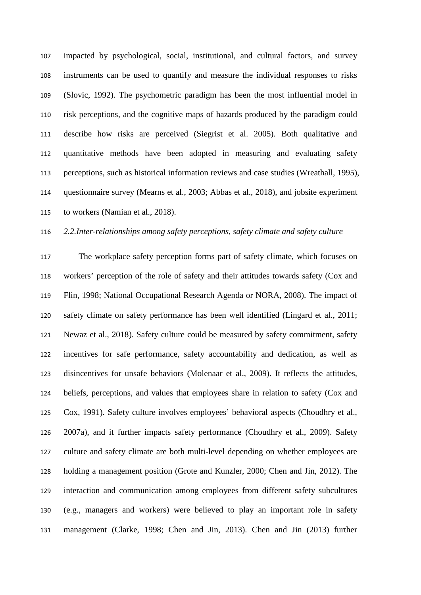impacted by psychological, social, institutional, and cultural factors, and survey instruments can be used to quantify and measure the individual responses to risks (Slovic, 1992). The psychometric paradigm has been the most influential model in risk perceptions, and the cognitive maps of hazards produced by the paradigm could describe how risks are perceived (Siegrist et al. 2005). Both qualitative and quantitative methods have been adopted in measuring and evaluating safety perceptions, such as historical information reviews and case studies (Wreathall, 1995), questionnaire survey (Mearns et al., 2003; Abbas et al., 2018), and jobsite experiment to workers (Namian et al., 2018).

## *2.2.Inter-relationships among safety perceptions, safety climate and safety culture*

 The workplace safety perception forms part of safety climate, which focuses on workers' perception of the role of safety and their attitudes towards safety (Cox and Flin, 1998; National Occupational Research Agenda or NORA, 2008). The impact of safety climate on safety performance has been well identified (Lingard et al., 2011; Newaz et al., 2018). Safety culture could be measured by safety commitment, safety incentives for safe performance, safety accountability and dedication, as well as disincentives for unsafe behaviors (Molenaar et al., 2009). It reflects the attitudes, beliefs, perceptions, and values that employees share in relation to safety (Cox and Cox, 1991). Safety culture involves employees' behavioral aspects (Choudhry et al., 2007a), and it further impacts safety performance (Choudhry et al., 2009). Safety culture and safety climate are both multi-level depending on whether employees are holding a management position (Grote and Kunzler, 2000; Chen and Jin, 2012). The interaction and communication among employees from different safety subcultures (e.g., managers and workers) were believed to play an important role in safety management (Clarke, 1998; Chen and Jin, 2013). Chen and Jin (2013) further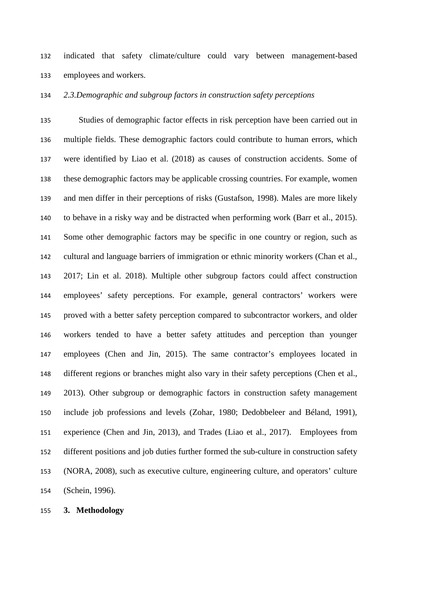indicated that safety climate/culture could vary between management-based employees and workers.

*2.3.Demographic and subgroup factors in construction safety perceptions*

 Studies of demographic factor effects in risk perception have been carried out in multiple fields. These demographic factors could contribute to human errors, which were identified by Liao et al. (2018) as causes of construction accidents. Some of these demographic factors may be applicable crossing countries. For example, women and men differ in their perceptions of risks (Gustafson, 1998). Males are more likely to behave in a risky way and be distracted when performing work (Barr et al., 2015). Some other demographic factors may be specific in one country or region, such as cultural and language barriers of immigration or ethnic minority workers (Chan et al., 2017; Lin et al. 2018). Multiple other subgroup factors could affect construction employees' safety perceptions. For example, general contractors' workers were proved with a better safety perception compared to subcontractor workers, and older workers tended to have a better safety attitudes and perception than younger employees (Chen and Jin, 2015). The same contractor's employees located in different regions or branches might also vary in their safety perceptions (Chen et al., 2013). Other subgroup or demographic factors in construction safety management include job professions and levels (Zohar, 1980; Dedobbeleer and Béland, 1991), experience (Chen and Jin, 2013), and Trades (Liao et al., 2017). Employees from different positions and job duties further formed the sub-culture in construction safety (NORA, 2008), such as executive culture, engineering culture, and operators' culture (Schein, 1996).

**3. Methodology**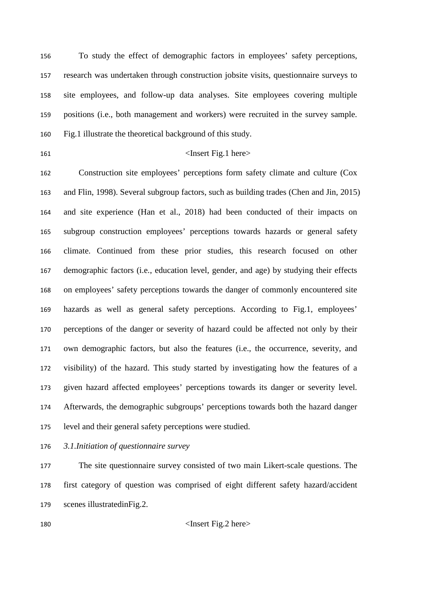To study the effect of demographic factors in employees' safety perceptions, research was undertaken through construction jobsite visits, questionnaire surveys to site employees, and follow-up data analyses. Site employees covering multiple positions (i.e., both management and workers) were recruited in the survey sample. Fig.1 illustrate the theoretical background of this study.

## 161 <Insert Fig.1 here>

 Construction site employees' perceptions form safety climate and culture (Cox and Flin, 1998). Several subgroup factors, such as building trades (Chen and Jin, 2015) and site experience (Han et al., 2018) had been conducted of their impacts on subgroup construction employees' perceptions towards hazards or general safety climate. Continued from these prior studies, this research focused on other demographic factors (i.e., education level, gender, and age) by studying their effects on employees' safety perceptions towards the danger of commonly encountered site hazards as well as general safety perceptions. According to Fig.1, employees' perceptions of the danger or severity of hazard could be affected not only by their own demographic factors, but also the features (i.e., the occurrence, severity, and visibility) of the hazard. This study started by investigating how the features of a given hazard affected employees' perceptions towards its danger or severity level. Afterwards, the demographic subgroups' perceptions towards both the hazard danger level and their general safety perceptions were studied.

*3.1.Initiation of questionnaire survey*

 The site questionnaire survey consisted of two main Likert-scale questions. The first category of question was comprised of eight different safety hazard/accident scenes illustratedinFig.2.

<Insert Fig.2 here>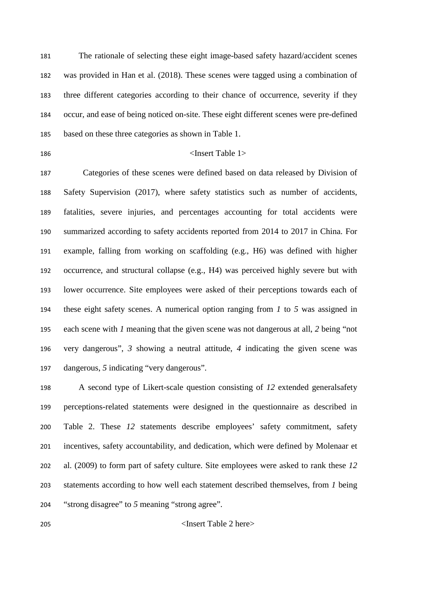The rationale of selecting these eight image-based safety hazard/accident scenes was provided in Han et al. (2018). These scenes were tagged using a combination of three different categories according to their chance of occurrence, severity if they occur, and ease of being noticed on-site. These eight different scenes were pre-defined based on these three categories as shown in Table 1.

## 186 <Insert Table 1>

 Categories of these scenes were defined based on data released by Division of Safety Supervision (2017), where safety statistics such as number of accidents, fatalities, severe injuries, and percentages accounting for total accidents were summarized according to safety accidents reported from 2014 to 2017 in China. For example, falling from working on scaffolding (e.g., H6) was defined with higher occurrence, and structural collapse (e.g., H4) was perceived highly severe but with lower occurrence. Site employees were asked of their perceptions towards each of these eight safety scenes. A numerical option ranging from *1* to *5* was assigned in each scene with *1* meaning that the given scene was not dangerous at all, *2* being "not very dangerous", *3* showing a neutral attitude, *4* indicating the given scene was dangerous, *5* indicating "very dangerous".

 A second type of Likert-scale question consisting of *12* extended generalsafety perceptions-related statements were designed in the questionnaire as described in Table 2. These *12* statements describe employees' safety commitment, safety incentives, safety accountability, and dedication, which were defined by Molenaar et al. (2009) to form part of safety culture. Site employees were asked to rank these *12* statements according to how well each statement described themselves, from *1* being "strong disagree" to *5* meaning "strong agree".

<Insert Table 2 here>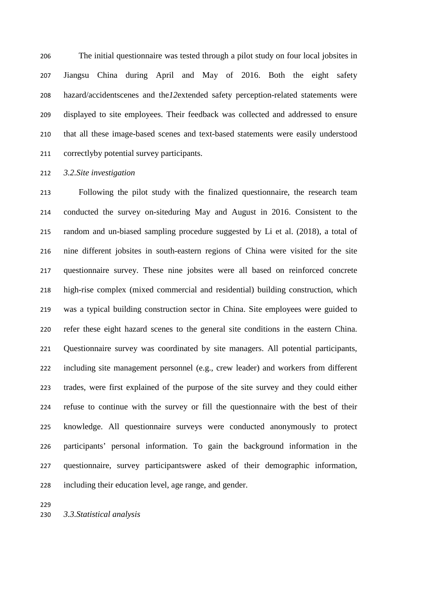The initial questionnaire was tested through a pilot study on four local jobsites in Jiangsu China during April and May of 2016. Both the eight safety hazard/accidentscenes and the*12*extended safety perception-related statements were displayed to site employees. Their feedback was collected and addressed to ensure that all these image-based scenes and text-based statements were easily understood correctlyby potential survey participants.

*3.2.Site investigation* 

 Following the pilot study with the finalized questionnaire, the research team conducted the survey on-siteduring May and August in 2016. Consistent to the random and un-biased sampling procedure suggested by Li et al. (2018), a total of nine different jobsites in south-eastern regions of China were visited for the site questionnaire survey. These nine jobsites were all based on reinforced concrete high-rise complex (mixed commercial and residential) building construction, which was a typical building construction sector in China. Site employees were guided to refer these eight hazard scenes to the general site conditions in the eastern China. Questionnaire survey was coordinated by site managers. All potential participants, including site management personnel (e.g., crew leader) and workers from different trades, were first explained of the purpose of the site survey and they could either refuse to continue with the survey or fill the questionnaire with the best of their knowledge. All questionnaire surveys were conducted anonymously to protect participants' personal information. To gain the background information in the questionnaire, survey participantswere asked of their demographic information, including their education level, age range, and gender.

*3.3.Statistical analysis*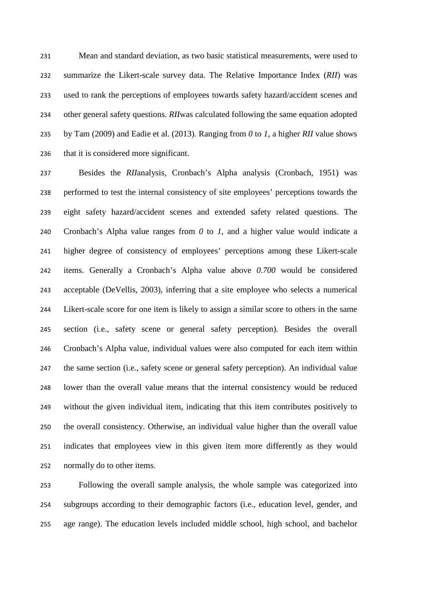Mean and standard deviation, as two basic statistical measurements, were used to summarize the Likert-scale survey data. The Relative Importance Index (*RII*) was used to rank the perceptions of employees towards safety hazard/accident scenes and other general safety questions. *RII*was calculated following the same equation adopted by Tam (2009) and Eadie et al. (2013). Ranging from *0* to *1*, a higher *RII* value shows that it is considered more significant.

 Besides the *RII*analysis, Cronbach's Alpha analysis (Cronbach, 1951) was performed to test the internal consistency of site employees' perceptions towards the eight safety hazard/accident scenes and extended safety related questions. The Cronbach's Alpha value ranges from *0* to *1*, and a higher value would indicate a higher degree of consistency of employees' perceptions among these Likert-scale items. Generally a Cronbach's Alpha value above *0.700* would be considered acceptable (DeVellis, 2003), inferring that a site employee who selects a numerical Likert-scale score for one item is likely to assign a similar score to others in the same section (i.e., safety scene or general safety perception). Besides the overall Cronbach's Alpha value, individual values were also computed for each item within the same section (i.e., safety scene or general safety perception). An individual value lower than the overall value means that the internal consistency would be reduced without the given individual item, indicating that this item contributes positively to the overall consistency. Otherwise, an individual value higher than the overall value indicates that employees view in this given item more differently as they would normally do to other items.

 Following the overall sample analysis, the whole sample was categorized into subgroups according to their demographic factors (i.e., education level, gender, and age range). The education levels included middle school, high school, and bachelor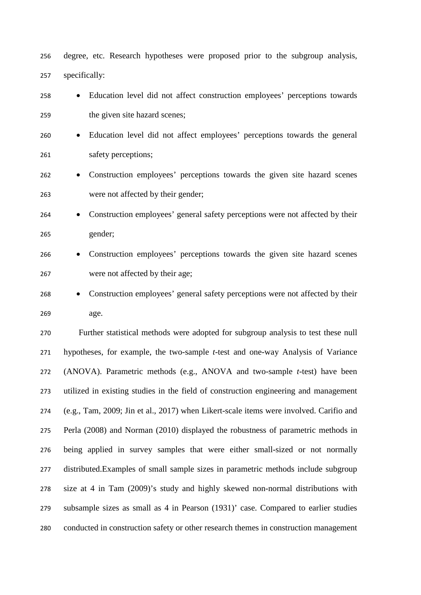degree, etc. Research hypotheses were proposed prior to the subgroup analysis, specifically:

- Education level did not affect construction employees' perceptions towards the given site hazard scenes;
- Education level did not affect employees' perceptions towards the general safety perceptions;
- Construction employees' perceptions towards the given site hazard scenes were not affected by their gender;
- Construction employees' general safety perceptions were not affected by their gender;
- Construction employees' perceptions towards the given site hazard scenes were not affected by their age;
- Construction employees' general safety perceptions were not affected by their age.

 Further statistical methods were adopted for subgroup analysis to test these null hypotheses, for example, the two-sample *t*-test and one-way Analysis of Variance (ANOVA). Parametric methods (e.g., ANOVA and two-sample *t*-test) have been utilized in existing studies in the field of construction engineering and management (e.g., Tam, 2009; Jin et al., 2017) when Likert-scale items were involved. Carifio and Perla (2008) and Norman (2010) displayed the robustness of parametric methods in being applied in survey samples that were either small-sized or not normally distributed.Examples of small sample sizes in parametric methods include subgroup size at 4 in Tam (2009)'s study and highly skewed non-normal distributions with subsample sizes as small as 4 in Pearson (1931)' case. Compared to earlier studies conducted in construction safety or other research themes in construction management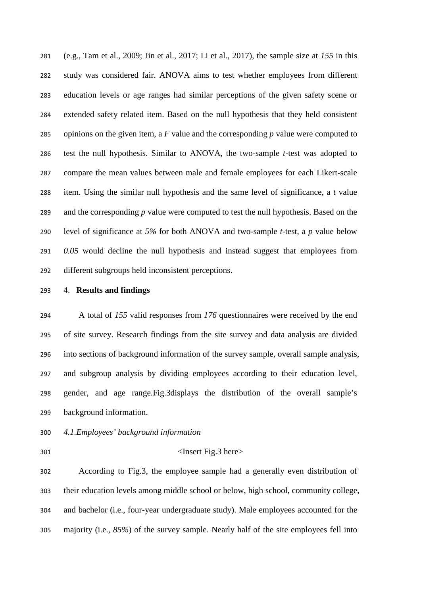(e.g., Tam et al., 2009; Jin et al., 2017; Li et al., 2017), the sample size at *155* in this study was considered fair. ANOVA aims to test whether employees from different education levels or age ranges had similar perceptions of the given safety scene or extended safety related item. Based on the null hypothesis that they held consistent opinions on the given item, a *F* value and the corresponding *p* value were computed to test the null hypothesis. Similar to ANOVA, the two-sample *t-*test was adopted to compare the mean values between male and female employees for each Likert-scale item. Using the similar null hypothesis and the same level of significance, a *t* value and the corresponding *p* value were computed to test the null hypothesis. Based on the level of significance at *5%* for both ANOVA and two-sample *t*-test, a *p* value below *0.05* would decline the null hypothesis and instead suggest that employees from different subgroups held inconsistent perceptions.

## 4. **Results and findings**

 A total of *155* valid responses from *176* questionnaires were received by the end of site survey. Research findings from the site survey and data analysis are divided into sections of background information of the survey sample, overall sample analysis, and subgroup analysis by dividing employees according to their education level, gender, and age range.Fig.3displays the distribution of the overall sample's background information.

- *4.1.Employees' background information*
- 

#### <Insert Fig.3 here>

 According to Fig.3, the employee sample had a generally even distribution of their education levels among middle school or below, high school, community college, and bachelor (i.e., four-year undergraduate study). Male employees accounted for the majority (i.e., *85%*) of the survey sample. Nearly half of the site employees fell into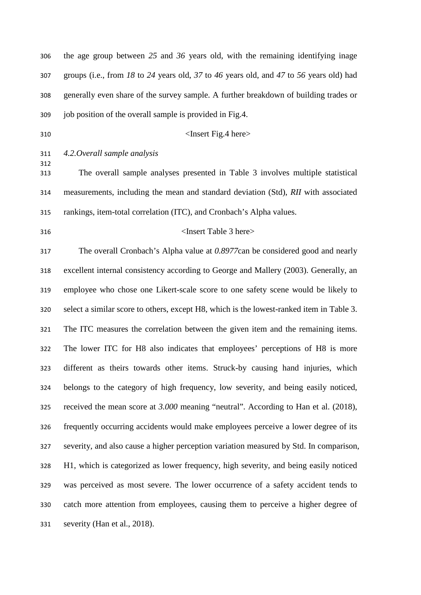| 306        | the age group between $25$ and $36$ years old, with the remaining identifying inage      |
|------------|------------------------------------------------------------------------------------------|
| 307        | groups (i.e., from 18 to 24 years old, 37 to 46 years old, and 47 to 56 years old) had   |
| 308        | generally even share of the survey sample. A further breakdown of building trades or     |
| 309        | job position of the overall sample is provided in Fig.4.                                 |
| 310        | <insert fig.4="" here=""></insert>                                                       |
| 311        | 4.2. Overall sample analysis                                                             |
| 312<br>313 | The overall sample analyses presented in Table 3 involves multiple statistical           |
| 314        | measurements, including the mean and standard deviation (Std), RII with associated       |
| 315        | rankings, item-total correlation (ITC), and Cronbach's Alpha values.                     |
| 316        | <insert 3="" here="" table=""></insert>                                                  |
| 317        | The overall Cronbach's Alpha value at 0.8977can be considered good and nearly            |
| 318        | excellent internal consistency according to George and Mallery (2003). Generally, an     |
| 319        | employee who chose one Likert-scale score to one safety scene would be likely to         |
| 320        | select a similar score to others, except H8, which is the lowest-ranked item in Table 3. |
| 321        | The ITC measures the correlation between the given item and the remaining items.         |
| 322        | The lower ITC for H8 also indicates that employees' perceptions of H8 is more            |
| 323        | different as theirs towards other items. Struck-by causing hand injuries, which          |
| 324        | belongs to the category of high frequency, low severity, and being easily noticed,       |
| 325        | received the mean score at 3.000 meaning "neutral". According to Han et al. (2018),      |
| 326        | frequently occurring accidents would make employees perceive a lower degree of its       |
| 327        | severity, and also cause a higher perception variation measured by Std. In comparison,   |
| 328        | H1, which is categorized as lower frequency, high severity, and being easily noticed     |
| 329        | was perceived as most severe. The lower occurrence of a safety accident tends to         |
| 330        | catch more attention from employees, causing them to perceive a higher degree of         |
| 331        | severity (Han et al., 2018).                                                             |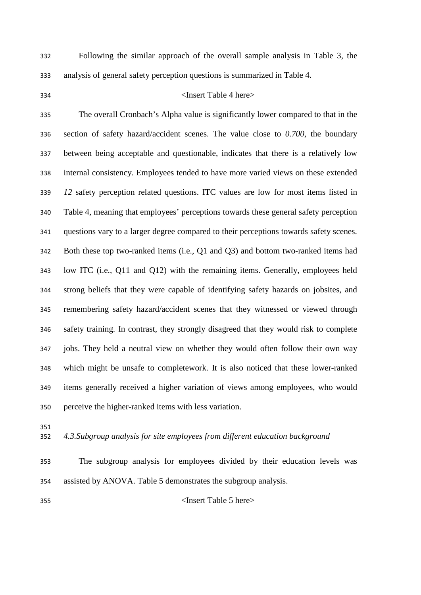Following the similar approach of the overall sample analysis in Table 3, the analysis of general safety perception questions is summarized in Table 4.

### <Insert Table 4 here>

 The overall Cronbach's Alpha value is significantly lower compared to that in the section of safety hazard/accident scenes. The value close to *0.700*, the boundary between being acceptable and questionable, indicates that there is a relatively low internal consistency. Employees tended to have more varied views on these extended *12* safety perception related questions. ITC values are low for most items listed in Table 4, meaning that employees' perceptions towards these general safety perception questions vary to a larger degree compared to their perceptions towards safety scenes. Both these top two-ranked items (i.e., Q1 and Q3) and bottom two-ranked items had low ITC (i.e., Q11 and Q12) with the remaining items. Generally, employees held strong beliefs that they were capable of identifying safety hazards on jobsites, and remembering safety hazard/accident scenes that they witnessed or viewed through safety training. In contrast, they strongly disagreed that they would risk to complete jobs. They held a neutral view on whether they would often follow their own way which might be unsafe to completework. It is also noticed that these lower-ranked items generally received a higher variation of views among employees, who would perceive the higher-ranked items with less variation.

## *4.3.Subgroup analysis for site employees from different education background*

 The subgroup analysis for employees divided by their education levels was assisted by ANOVA. Table 5 demonstrates the subgroup analysis.

#### <Insert Table 5 here>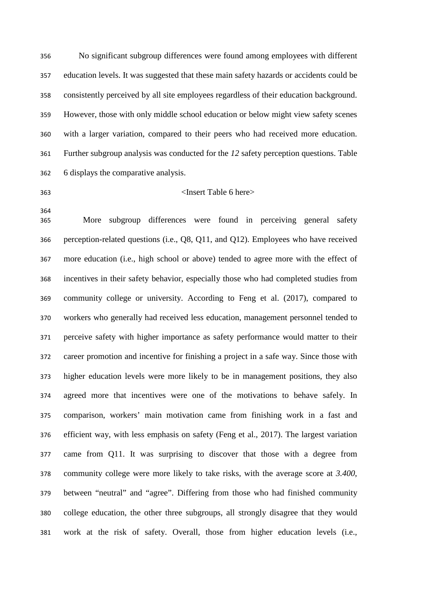No significant subgroup differences were found among employees with different education levels. It was suggested that these main safety hazards or accidents could be consistently perceived by all site employees regardless of their education background. However, those with only middle school education or below might view safety scenes with a larger variation, compared to their peers who had received more education. Further subgroup analysis was conducted for the *12* safety perception questions. Table 6 displays the comparative analysis.

## <Insert Table 6 here>

 More subgroup differences were found in perceiving general safety perception-related questions (i.e., Q8, Q11, and Q12). Employees who have received more education (i.e., high school or above) tended to agree more with the effect of incentives in their safety behavior, especially those who had completed studies from community college or university. According to Feng et al. (2017), compared to workers who generally had received less education, management personnel tended to perceive safety with higher importance as safety performance would matter to their career promotion and incentive for finishing a project in a safe way. Since those with higher education levels were more likely to be in management positions, they also agreed more that incentives were one of the motivations to behave safely. In comparison, workers' main motivation came from finishing work in a fast and efficient way, with less emphasis on safety (Feng et al., 2017). The largest variation came from Q11. It was surprising to discover that those with a degree from community college were more likely to take risks, with the average score at *3.400*, between "neutral" and "agree". Differing from those who had finished community college education, the other three subgroups, all strongly disagree that they would work at the risk of safety. Overall, those from higher education levels (i.e.,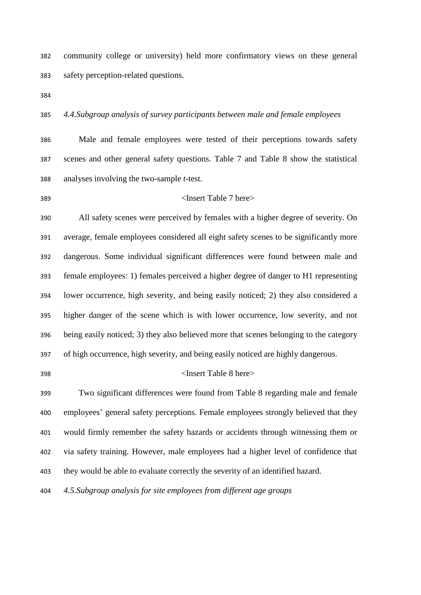community college or university) held more confirmatory views on these general safety perception-related questions.

## *4.4.Subgroup analysis of survey participants between male and female employees*

 Male and female employees were tested of their perceptions towards safety scenes and other general safety questions. Table 7 and Table 8 show the statistical analyses involving the two-sample *t*-test.

#### <Insert Table 7 here>

 All safety scenes were perceived by females with a higher degree of severity. On average, female employees considered all eight safety scenes to be significantly more dangerous. Some individual significant differences were found between male and female employees: 1) females perceived a higher degree of danger to H1 representing lower occurrence, high severity, and being easily noticed; 2) they also considered a higher danger of the scene which is with lower occurrence, low severity, and not being easily noticed; 3) they also believed more that scenes belonging to the category of high occurrence, high severity, and being easily noticed are highly dangerous.

#### <Insert Table 8 here>

 Two significant differences were found from Table 8 regarding male and female employees' general safety perceptions. Female employees strongly believed that they would firmly remember the safety hazards or accidents through witnessing them or via safety training. However, male employees had a higher level of confidence that they would be able to evaluate correctly the severity of an identified hazard.

*4.5.Subgroup analysis for site employees from different age groups*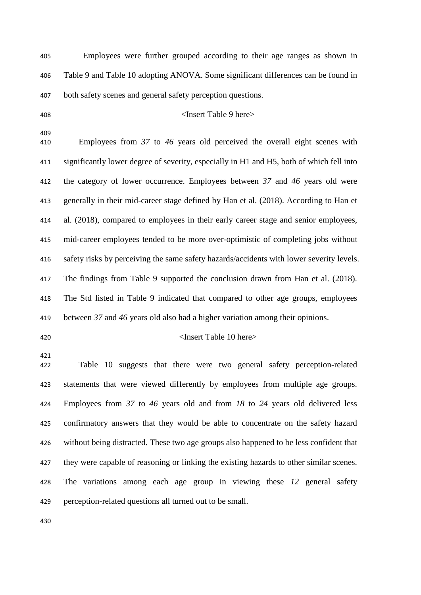Employees were further grouped according to their age ranges as shown in Table 9 and Table 10 adopting ANOVA. Some significant differences can be found in both safety scenes and general safety perception questions.

## <Insert Table 9 here>

 Employees from *37* to *46* years old perceived the overall eight scenes with significantly lower degree of severity, especially in H1 and H5, both of which fell into the category of lower occurrence. Employees between *37* and *46* years old were generally in their mid-career stage defined by Han et al. (2018). According to Han et al. (2018), compared to employees in their early career stage and senior employees, mid-career employees tended to be more over-optimistic of completing jobs without safety risks by perceiving the same safety hazards/accidents with lower severity levels. The findings from Table 9 supported the conclusion drawn from Han et al. (2018). The Std listed in Table 9 indicated that compared to other age groups, employees between *37* and *46* years old also had a higher variation among their opinions.

## <Insert Table 10 here>

 Table 10 suggests that there were two general safety perception-related statements that were viewed differently by employees from multiple age groups. Employees from *37* to *46* years old and from *18* to *24* years old delivered less confirmatory answers that they would be able to concentrate on the safety hazard without being distracted. These two age groups also happened to be less confident that they were capable of reasoning or linking the existing hazards to other similar scenes. The variations among each age group in viewing these *12* general safety perception-related questions all turned out to be small.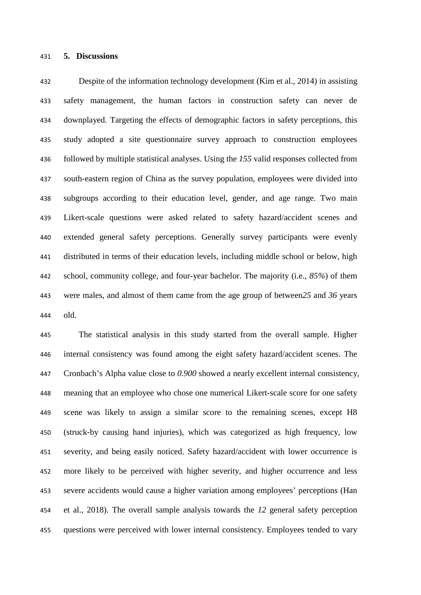#### **5. Discussions**

 Despite of the information technology development (Kim et al., 2014) in assisting safety management, the human factors in construction safety can never de downplayed. Targeting the effects of demographic factors in safety perceptions, this study adopted a site questionnaire survey approach to construction employees followed by multiple statistical analyses. Using the *155* valid responses collected from south-eastern region of China as the survey population, employees were divided into subgroups according to their education level, gender, and age range. Two main Likert-scale questions were asked related to safety hazard/accident scenes and extended general safety perceptions. Generally survey participants were evenly distributed in terms of their education levels, including middle school or below, high school, community college, and four-year bachelor. The majority (i.e., *85%*) of them were males, and almost of them came from the age group of between*25* and *36* years old.

 The statistical analysis in this study started from the overall sample. Higher internal consistency was found among the eight safety hazard/accident scenes. The Cronbach's Alpha value close to *0.900* showed a nearly excellent internal consistency, meaning that an employee who chose one numerical Likert-scale score for one safety scene was likely to assign a similar score to the remaining scenes, except H8 (struck-by causing hand injuries), which was categorized as high frequency, low severity, and being easily noticed. Safety hazard/accident with lower occurrence is more likely to be perceived with higher severity, and higher occurrence and less severe accidents would cause a higher variation among employees' perceptions (Han et al., 2018). The overall sample analysis towards the *12* general safety perception questions were perceived with lower internal consistency. Employees tended to vary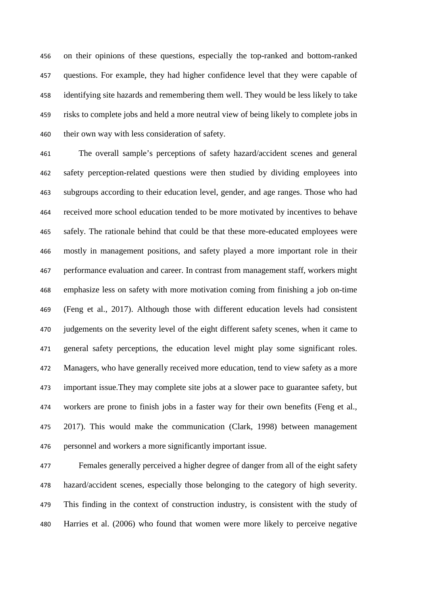on their opinions of these questions, especially the top-ranked and bottom-ranked questions. For example, they had higher confidence level that they were capable of identifying site hazards and remembering them well. They would be less likely to take risks to complete jobs and held a more neutral view of being likely to complete jobs in their own way with less consideration of safety.

 The overall sample's perceptions of safety hazard/accident scenes and general safety perception-related questions were then studied by dividing employees into subgroups according to their education level, gender, and age ranges. Those who had received more school education tended to be more motivated by incentives to behave safely. The rationale behind that could be that these more-educated employees were mostly in management positions, and safety played a more important role in their performance evaluation and career. In contrast from management staff, workers might emphasize less on safety with more motivation coming from finishing a job on-time (Feng et al., 2017). Although those with different education levels had consistent 470 judgements on the severity level of the eight different safety scenes, when it came to general safety perceptions, the education level might play some significant roles. Managers, who have generally received more education, tend to view safety as a more important issue.They may complete site jobs at a slower pace to guarantee safety, but workers are prone to finish jobs in a faster way for their own benefits (Feng et al., 2017). This would make the communication (Clark, 1998) between management personnel and workers a more significantly important issue.

 Females generally perceived a higher degree of danger from all of the eight safety hazard/accident scenes, especially those belonging to the category of high severity. This finding in the context of construction industry, is consistent with the study of Harries et al. (2006) who found that women were more likely to perceive negative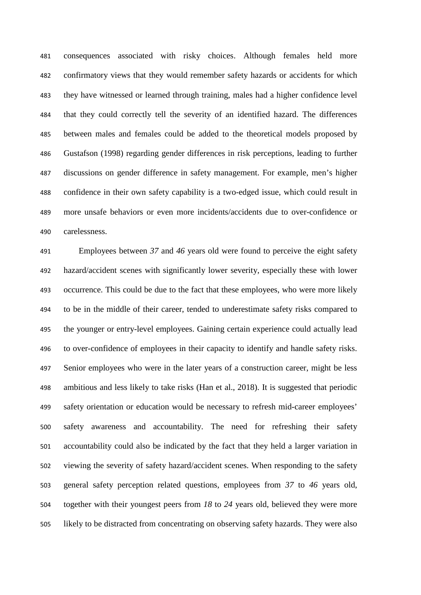consequences associated with risky choices. Although females held more confirmatory views that they would remember safety hazards or accidents for which they have witnessed or learned through training, males had a higher confidence level that they could correctly tell the severity of an identified hazard. The differences between males and females could be added to the theoretical models proposed by Gustafson (1998) regarding gender differences in risk perceptions, leading to further discussions on gender difference in safety management. For example, men's higher confidence in their own safety capability is a two-edged issue, which could result in more unsafe behaviors or even more incidents/accidents due to over-confidence or carelessness.

 Employees between *37* and *46* years old were found to perceive the eight safety hazard/accident scenes with significantly lower severity, especially these with lower occurrence. This could be due to the fact that these employees, who were more likely to be in the middle of their career, tended to underestimate safety risks compared to the younger or entry-level employees. Gaining certain experience could actually lead to over-confidence of employees in their capacity to identify and handle safety risks. Senior employees who were in the later years of a construction career, might be less ambitious and less likely to take risks (Han et al., 2018). It is suggested that periodic safety orientation or education would be necessary to refresh mid-career employees' safety awareness and accountability. The need for refreshing their safety accountability could also be indicated by the fact that they held a larger variation in viewing the severity of safety hazard/accident scenes. When responding to the safety general safety perception related questions, employees from *37* to *46* years old, together with their youngest peers from *18* to *24* years old, believed they were more likely to be distracted from concentrating on observing safety hazards. They were also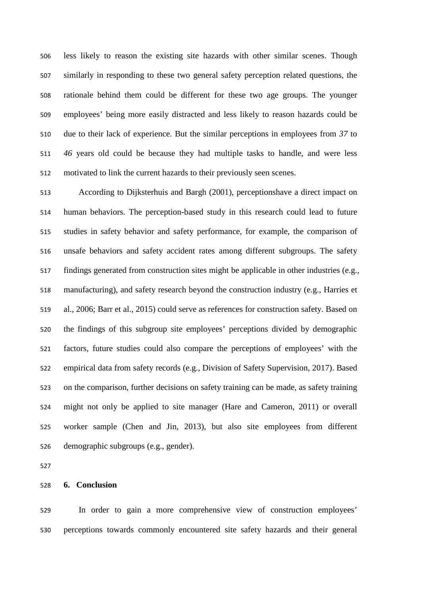less likely to reason the existing site hazards with other similar scenes. Though similarly in responding to these two general safety perception related questions, the rationale behind them could be different for these two age groups. The younger employees' being more easily distracted and less likely to reason hazards could be due to their lack of experience. But the similar perceptions in employees from *37* to *46* years old could be because they had multiple tasks to handle, and were less motivated to link the current hazards to their previously seen scenes.

 According to Dijksterhuis and Bargh (2001), perceptionshave a direct impact on human behaviors. The perception-based study in this research could lead to future studies in safety behavior and safety performance, for example, the comparison of unsafe behaviors and safety accident rates among different subgroups. The safety findings generated from construction sites might be applicable in other industries (e.g., manufacturing), and safety research beyond the construction industry (e.g., Harries et al., 2006; Barr et al., 2015) could serve as references for construction safety. Based on the findings of this subgroup site employees' perceptions divided by demographic factors, future studies could also compare the perceptions of employees' with the empirical data from safety records (e.g., Division of Safety Supervision, 2017). Based on the comparison, further decisions on safety training can be made, as safety training might not only be applied to site manager (Hare and Cameron, 2011) or overall worker sample (Chen and Jin, 2013), but also site employees from different demographic subgroups (e.g., gender).

## **6. Conclusion**

 In order to gain a more comprehensive view of construction employees' perceptions towards commonly encountered site safety hazards and their general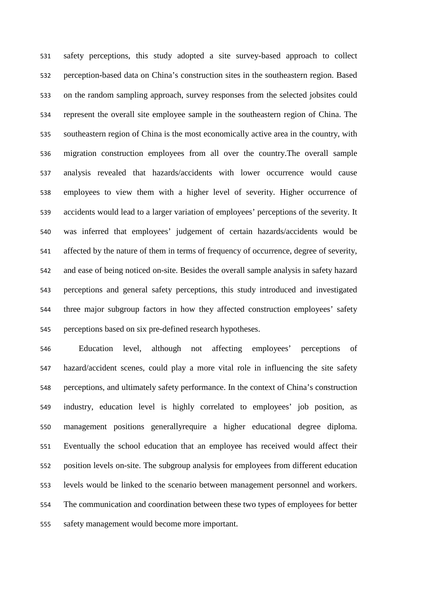safety perceptions, this study adopted a site survey-based approach to collect perception-based data on China's construction sites in the southeastern region. Based on the random sampling approach, survey responses from the selected jobsites could represent the overall site employee sample in the southeastern region of China. The southeastern region of China is the most economically active area in the country, with migration construction employees from all over the country.The overall sample analysis revealed that hazards/accidents with lower occurrence would cause employees to view them with a higher level of severity. Higher occurrence of accidents would lead to a larger variation of employees' perceptions of the severity. It was inferred that employees' judgement of certain hazards/accidents would be affected by the nature of them in terms of frequency of occurrence, degree of severity, and ease of being noticed on-site. Besides the overall sample analysis in safety hazard perceptions and general safety perceptions, this study introduced and investigated three major subgroup factors in how they affected construction employees' safety perceptions based on six pre-defined research hypotheses.

 Education level, although not affecting employees' perceptions of hazard/accident scenes, could play a more vital role in influencing the site safety perceptions, and ultimately safety performance. In the context of China's construction industry, education level is highly correlated to employees' job position, as management positions generallyrequire a higher educational degree diploma. Eventually the school education that an employee has received would affect their position levels on-site. The subgroup analysis for employees from different education levels would be linked to the scenario between management personnel and workers. The communication and coordination between these two types of employees for better safety management would become more important.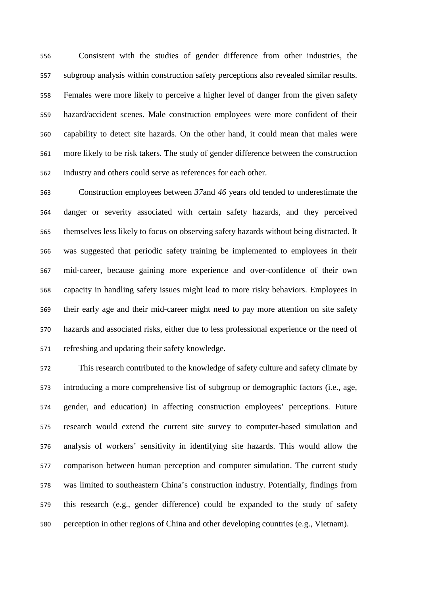Consistent with the studies of gender difference from other industries, the subgroup analysis within construction safety perceptions also revealed similar results. Females were more likely to perceive a higher level of danger from the given safety hazard/accident scenes. Male construction employees were more confident of their capability to detect site hazards. On the other hand, it could mean that males were more likely to be risk takers. The study of gender difference between the construction industry and others could serve as references for each other.

 Construction employees between *37*and *46* years old tended to underestimate the danger or severity associated with certain safety hazards, and they perceived themselves less likely to focus on observing safety hazards without being distracted. It was suggested that periodic safety training be implemented to employees in their mid-career, because gaining more experience and over-confidence of their own capacity in handling safety issues might lead to more risky behaviors. Employees in their early age and their mid-career might need to pay more attention on site safety hazards and associated risks, either due to less professional experience or the need of refreshing and updating their safety knowledge.

 This research contributed to the knowledge of safety culture and safety climate by introducing a more comprehensive list of subgroup or demographic factors (i.e., age, gender, and education) in affecting construction employees' perceptions. Future research would extend the current site survey to computer-based simulation and analysis of workers' sensitivity in identifying site hazards. This would allow the comparison between human perception and computer simulation. The current study was limited to southeastern China's construction industry. Potentially, findings from this research (e.g., gender difference) could be expanded to the study of safety perception in other regions of China and other developing countries (e.g., Vietnam).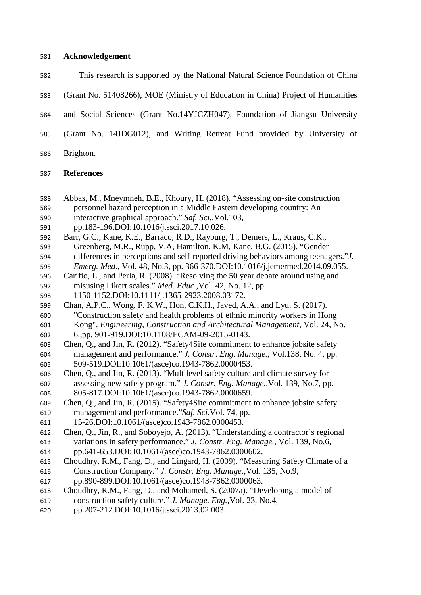### **Acknowledgement**

- This research is supported by the National Natural Science Foundation of China
- (Grant No. 51408266), MOE (Ministry of Education in China) Project of Humanities
- and Social Sciences (Grant No.14YJCZH047), Foundation of Jiangsu University
- (Grant No. 14JDG012), and Writing Retreat Fund provided by University of
- Brighton.

## **References**

- Abbas, M., Mneymneh, B.E., Khoury, H. (2018). "Assessing on-site construction personnel hazard perception in a Middle Eastern developing country: An
- interactive graphical approach." *Saf. Sci.,*Vol.103,
- pp.183-196.DOI:10.1016/j.ssci.2017.10.026.
- Barr, G.C., Kane, K.E., Barraco, R.D., Rayburg, T., Demers, L., Kraus, C.K., Greenberg, M.R., Rupp, V.A, Hamilton, K.M, Kane, B.G. (2015). "Gender differences in perceptions and self-reported driving behaviors among teenagers."*J.*
- *Emerg. Med*., Vol. 48, No.3, pp. 366-370.DOI:10.1016/j.jemermed.2014.09.055.
- Carifio, L., and Perla, R. (2008). "Resolving the 50 year debate around using and misusing Likert scales." *Med. Educ.,*Vol. 42, No. 12, pp.
- 1150-1152.DOI:10.1111/j.1365-2923.2008.03172.
- Chan, A.P.C., Wong, F. K.W., Hon, C.K.H., Javed, A.A., and Lyu, S. (2017). "Construction safety and health problems of ethnic minority workers in Hong Kong". *Engineering, Construction and Architectural Management*, Vol. 24, No. 6.,pp. 901-919.DOI:10.1108/ECAM-09-2015-0143.
- Chen, Q., and Jin, R. (2012). "Safety4Site commitment to enhance jobsite safety management and performance." *J. Constr. Eng. Manage.*, Vol.138, No. 4, pp. 509-519.DOI:10.1061/(asce)co.1943-7862.0000453.
- Chen, Q., and Jin, R. (2013). "Multilevel safety culture and climate survey for assessing new safety program." *J. Constr. Eng. Manage.,*Vol. 139, No.7, pp. 805-817.DOI:10.1061/(asce)co.1943-7862.0000659.
- Chen, Q., and Jin, R. (2015). "Safety4Site commitment to enhance jobsite safety management and performance."*Saf. Sci.*Vol. 74, pp.
- 15-26.DOI:10.1061/(asce)co.1943-7862.0000453.
- Chen, Q., Jin, R., and Soboyejo, A. (2013). "Understanding a contractor's regional variations in safety performance." *J. Constr. Eng. Manage.*, Vol. 139, No.6,
- pp.641-653.DOI:10.1061/(asce)co.1943-7862.0000602.
- Choudhry, R.M., Fang, D., and Lingard, H. (2009). "Measuring Safety Climate of a Construction Company." *J. Constr. Eng. Manage.,*Vol. 135, No.9,
- pp.890-899.DOI:10.1061/(asce)co.1943-7862.0000063.
- Choudhry, R.M., Fang, D., and Mohamed, S. (2007a). "Developing a model of construction safety culture." *J. Manage. Eng.,*Vol. 23, No.4,
- pp.207-212.DOI:10.1016/j.ssci.2013.02.003.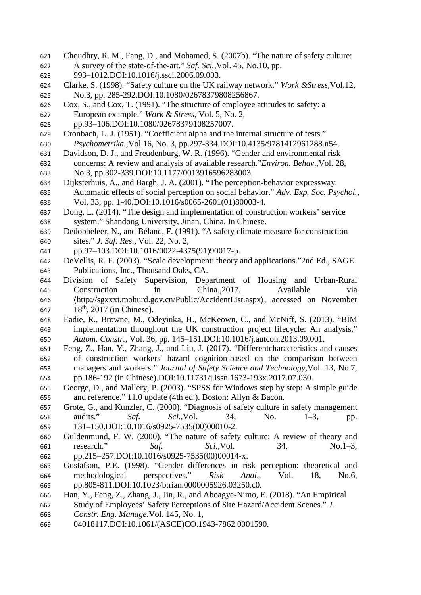- Choudhry, R. M., Fang, D., and Mohamed, S. (2007b). "The nature of safety culture: A survey of the state-of-the-art." *Saf. Sci.,*Vol. 45, No.10, pp.
- 993–1012.DOI:10.1016/j.ssci.2006.09.003.
- Clarke, S. (1998). "Safety culture on the UK railway network." *Work &Stress,*Vol.12, No.3, pp. 285-292.DOI:10.1080/02678379808256867.
- Cox, S., and Cox, T. (1991). "The structure of employee attitudes to safety: a European example." *Work & Stress*, Vol. 5, No. 2,
- pp.93–106.DOI:10.1080/02678379108257007.
- Cronbach, L. J. (1951). "Coefficient alpha and the internal structure of tests." *Psychometrika.,*Vol.16, No. 3, pp.297-334.DOI:10.4135/9781412961288.n54.
- Davidson, D. J., and Freudenburg, W. R. (1996). "Gender and environmental risk concerns: A review and analysis of available research."*Environ. Behav*.,Vol. 28, No.3, pp.302-339.DOI:10.1177/0013916596283003.
- Dijksterhuis, A., and Bargh, J. A. (2001). "The perception-behavior expressway: Automatic effects of social perception on social behavior." *Adv. Exp. Soc. Psychol.*, Vol. 33, pp. 1-40.DOI:10.1016/s0065-2601(01)80003-4.
- Dong, L. (2014). "The design and implementation of construction workers' service system." Shandong University, Jinan, China. In Chinese.
- Dedobbeleer, N., and Béland, F. (1991). "A safety climate measure for construction sites." *J. Saf. Res*., Vol. 22, No. 2,
- pp.97–103.DOI:10.1016/0022-4375(91)90017-p.
- DeVellis, R. F. (2003). "Scale development: theory and applications."2nd Ed., SAGE Publications, Inc., Thousand Oaks, CA.
- Division of Safety Supervision, Department of Housing and Urban-Rural Construction in China.,2017. Available via 〈http://sgxxxt.mohurd.gov.cn/Public/AccidentList.aspx〉, accessed on November 647 18<sup>th</sup>, 2017 (in Chinese).
- Eadie, R., Browne, M., Odeyinka, H., McKeown, C., and McNiff, S. (2013). "BIM implementation throughout the UK construction project lifecycle: An analysis." *Autom. Constr.,* Vol. 36, pp. 145–151.DOI:10.1016/j.autcon.2013.09.001.
- Feng, Z., Han, Y., Zhang, J., and Liu, J. (2017). "Differentcharacteristics and causes of construction workers' hazard cognition-based on the comparison between managers and workers." *Journal of Safety Science and Technology,*Vol. 13, No.7, pp.186-192 (in Chinese).DOI:10.11731/j.issn.1673-193x.2017.07.030.
- George, D., and Mallery, P. (2003). "SPSS for Windows step by step: A simple guide and reference." 11.0 update (4th ed.). Boston: Allyn & Bacon.
- Grote, G., and Kunzler, C. (2000). "Diagnosis of safety culture in safety management audits." *Saf. Sci.,*Vol. 34, No. 1–3, pp. 131–150.DOI:10.1016/s0925-7535(00)00010-2.
- Guldenmund, F. W. (2000). "The nature of safety culture: A review of theory and research." *Saf. Sci.,*Vol. 34, No.1–3,
- pp.215–257.DOI:10.1016/s0925-7535(00)00014-x.
- Gustafson, P.E. (1998). "Gender differences in risk perception: theoretical and methodological perspectives." *Risk Anal*., Vol. 18, No.6, pp.805-811.DOI:10.1023/b:rian.0000005926.03250.c0.
- Han, Y., Feng, Z., Zhang, J., Jin, R., and Aboagye-Nimo, E. (2018). "An Empirical
- Study of Employees' Safety Perceptions of Site Hazard/Accident Scenes." *J.*
- *Constr. Eng. Manage.*Vol. 145, No. 1,
- 04018117.DOI:10.1061/(ASCE)CO.1943-7862.0001590.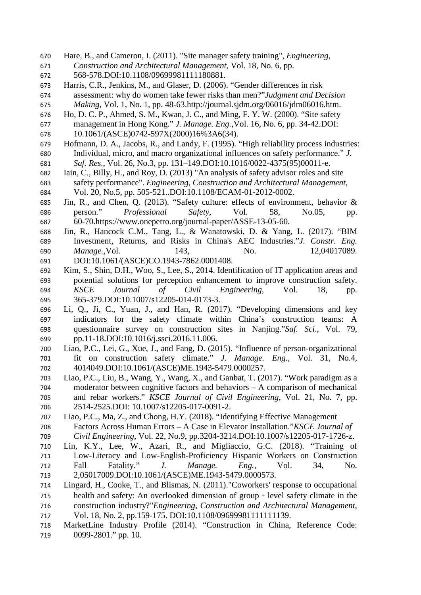- Hare, B., and Cameron, I. (2011). "Site manager safety training", *Engineering, Construction and Architectural Management,* Vol. 18, No. 6, pp. 568-578.DOI:10.1108/09699981111180881.
- 
- Harris, C.R., Jenkins, M., and Glaser, D. (2006). "Gender differences in risk assessment: why do women take fewer risks than men?"*Judgment and Decision Making*, Vol. 1, No. 1, pp. 48-63.http://journal.sjdm.org/06016/jdm06016.htm.
- Ho, D. C. P., Ahmed, S. M., Kwan, J. C., and Ming, F. Y. W. (2000). "Site safety
- management in Hong Kong." *J. Manage. Eng.,*Vol. 16, No. 6, pp. 34-42.DOI: 10.1061/(ASCE)0742-597X(2000)16%3A6(34).
- Hofmann, D. A., Jacobs, R., and Landy, F. (1995). "High reliability process industries: Individual, micro, and macro organizational influences on safety performance." *J. Saf. Res*., Vol. 26, No.3, pp. 131–149.DOI:10.1016/0022-4375(95)00011-e.
- Iain, C., Billy, H., and Roy, D. (2013) "An analysis of safety advisor roles and site safety performance". *Engineering, Construction and Architectural Management*, Vol. 20, No.5, pp. 505-521..DOI:10.1108/ECAM-01-2012-0002.
- Jin, R., and Chen, Q. (2013). "Safety culture: effects of environment, behavior & person." *Professional Safety*, Vol. 58, No.05, pp. 60-70.https://www.onepetro.org/journal-paper/ASSE-13-05-60.
- Jin, R., Hancock C.M., Tang, L., & Wanatowski, D. & Yang, L. (2017). ["BIM](https://www.researchgate.net/publication/317718381_Investigation_of_BIM_Investment_Returns_and_Risks_in_China)  [Investment, Returns, and Risks in China's AEC Industries.](https://www.researchgate.net/publication/317718381_Investigation_of_BIM_Investment_Returns_and_Risks_in_China)"*J. Constr. Eng. Manage.,*Vol. 143, No. 12,04017089. DOI:10.1061/(ASCE)CO.1943-7862.0001408.
- Kim, S., Shin, D.H., Woo, S., Lee, S., 2014. Identification of IT application areas and potential solutions for perception enhancement to improve construction safety. *KSCE Journal of Civil Engineering*, Vol. 18, pp. 365-379.DOI:10.1007/s12205-014-0173-3.
- Li, Q., Ji, C., Yuan, J., and Han, R. (2017). "Developing dimensions and key indicators for the safety climate within China's construction teams: A questionnaire survey on construction sites in Nanjing."*Saf. Sci*., Vol. 79, pp.11-18.DOI:10.1016/j.ssci.2016.11.006.
- Liao, P.C., Lei, G., Xue, J., and Fang, D. (2015). "Influence of person-organizational fit on construction safety climate." *J. Manage. Eng.,* Vol. 31, No.4, 4014049.DOI:10.1061/(ASCE)ME.1943-5479.0000257.
- Liao, P.C., Liu, B., Wang, Y., Wang, X., and Ganbat, T. (2017). "Work paradigm as a moderator between cognitive factors and behaviors – A comparison of mechanical and rebar workers." *KSCE Journal of Civil Engineering*, Vol. 21, No. 7, pp. 2514-2525.DOI: 10.1007/s12205-017-0091-2.
- Liao, P.C., Ma, Z., and Chong, H.Y. (2018). "Identifying Effective Management Factors Across Human Errors – A Case in Elevator Installation."*KSCE Journal of Civil Engineering*, Vol. 22, No.9, pp.3204-3214.DOI:10.1007/s12205-017-1726-z.
- Lin, K.Y., Lee, W., Azari, R., and Migliaccio, G.C. (2018). "Training of Low-Literacy and Low-English-Proficiency Hispanic Workers on Construction Fall Fatality." *J. Manage. Eng.,* Vol. 34, No. 2,05017009.DOI:10.1061/(ASCE)ME.1943-5479.0000573.
- Lingard, H., Cooke, T., and Blismas, N. (2011)."Coworkers' response to occupational health and safety: An overlooked dimension of group‐level safety climate in the construction industry?"*Engineering, Construction and Architectural Management*, Vol. 18, No. 2, pp.159-175. DOI:10.1108/09699981111111139.
- MarketLine Industry Profile (2014). "Construction in China, Reference Code: 719 0099-2801." pp. 10.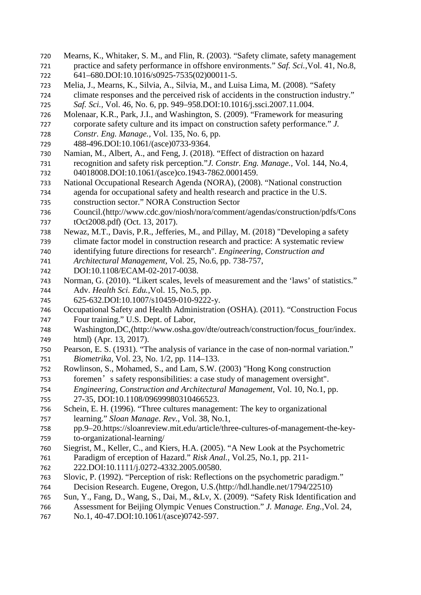Mearns, K., Whitaker, S. M., and Flin, R. (2003). "Safety climate, safety management practice and safety performance in offshore environments." *Saf. Sci.,*Vol. 41, No.8, 641–680.DOI:10.1016/s0925-7535(02)00011-5. Melia, J., Mearns, K., Silvia, A., Silvia, M., and Luisa Lima, M. (2008). "Safety climate responses and the perceived risk of accidents in the construction industry." *Saf. Sci.,* Vol. 46, No. 6, pp. 949–958.DOI:10.1016/j.ssci.2007.11.004. Molenaar, K.R., Park, J.I., and Washington, S. (2009). "Framework for measuring corporate safety culture and its impact on construction safety performance." *J. Constr. Eng. Manage.,* Vol. 135, No. 6, pp. 488-496.DOI:10.1061/(asce)0733-9364. Namian, M., Albert, A., and Feng, J. (2018). "Effect of distraction on hazard recognition and safety risk perception."*J. Constr. Eng. Manage.,* Vol. 144, No.4, 04018008.DOI:10.1061/(asce)co.1943-7862.0001459. National Occupational Research Agenda (NORA), (2008). "National construction agenda for occupational safety and health research and practice in the U.S. construction sector." NORA Construction Sector 736 Council.(http://www.cdc.gov/niosh/nora/comment/agendas/construction/pdfs/Cons<br>737 tOct2008.pdf) (Oct. 13, 2017). 737 tOct2008.pdf) (Oct. 13, 2017).<br>738 Newaz, M.T., Davis, P.R., Jefferie Newaz, M.T., Davis, P.R., Jefferies, M., and Pillay, M. (2018) "Developing a safety climate factor model in construction research and practice: A systematic review identifying future directions for research". *Engineering, Construction and Architectural Management*, Vol. 25, No.6, pp. 738-757, DOI:10.1108/ECAM-02-2017-0038. Norman, G. (2010). "Likert scales, levels of measurement and the 'laws' of statistics." Adv. *Health Sci. Edu.,*Vol. 15, No.5, pp. 625-632.DOI:10.1007/s10459-010-9222-y. Occupational Safety and Health Administration (OSHA). (2011). "Construction Focus Four training." U.S. Dept. of Labor, 748 Washington,DC, (http://www.osha.gov/dte/outreach/construction/focus\_four/index.<br>749 html) (Apr. 13, 2017). html $\langle$  (Apr. 13, 2017). Pearson, E. S. (1931). "The analysis of variance in the case of non-normal variation." *Biometrika*, Vol. 23, No. 1/2, pp. 114–133. Rowlinson, S., Mohamed, S., and Lam, S.W. (2003) "Hong Kong construction foremen's safety responsibilities: a case study of management oversight". *Engineering, Construction and Architectural Management*, Vol. 10, No.1, pp. 27-35, DOI:10.1108/09699980310466523. Schein, E. H. (1996). "Three cultures management: The key to organizational learning." *Sloan Manage. Rev.*, Vol. 38, No.1, pp.9–20.https://sloanreview.mit.edu/article/three-cultures-of-management-the-key- to-organizational-learning/ Siegrist, M., Keller, C., and Kiers, H.A. (2005). "A New Look at the Psychometric Paradigm of erception of Hazard." *Risk Anal.,* Vol.25, No.1, pp. 211- 222.DOI:10.1111/j.0272-4332.2005.00580. Slovic, P. (1992). "Perception of risk: Reflections on the psychometric paradigm." Decision Research. Eugene, Oregon, U.S.〈http://hdl.handle.net/1794/22510〉 Sun, Y., Fang, D., Wang, S., Dai, M., &Lv, X. (2009). "Safety Risk Identification and Assessment for Beijing Olympic Venues Construction." *J. Manage. Eng.,*Vol. 24, 767 No.1, 40-47.DOI:10.1061/(asce)0742-597.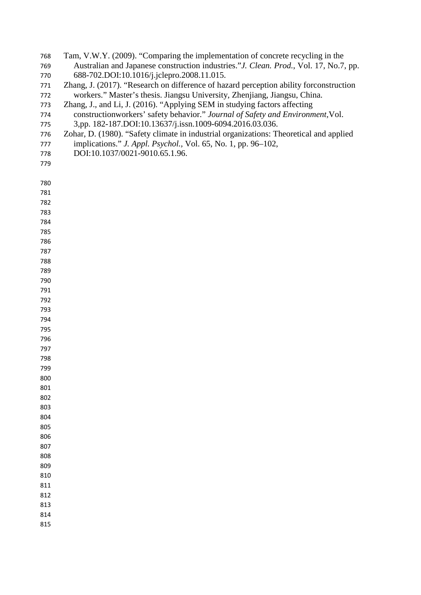- Tam, V.W.Y. (2009). "Comparing the implementation of concrete recycling in the Australian and Japanese construction industries."*J. Clean. Prod.*, Vol. 17, No.7, pp. 688-702.DOI:10.1016/j.jclepro.2008.11.015.
- Zhang, J. (2017). "Research on difference of hazard perception ability forconstruction workers." Master's thesis. Jiangsu University, Zhenjiang, Jiangsu, China.
- Zhang, J., and Li, J. (2016). "Applying SEM in studying factors affecting
- constructionworkers' safety behavior." *Journal of Safety and Environment,*Vol. 3,pp. 182-187.DOI:10.13637/j.issn.1009-6094.2016.03.036.
- Zohar, D. (1980). "Safety climate in industrial organizations: Theoretical and applied
- implications." *J. Appl. Psychol.,* Vol. 65, No. 1, pp. 96–102,
- DOI:10.1037/0021-9010.65.1.96.
- 

| 780 |  |  |  |
|-----|--|--|--|
| 781 |  |  |  |
| 782 |  |  |  |
| 783 |  |  |  |
| 784 |  |  |  |
| 785 |  |  |  |
| 786 |  |  |  |
| 787 |  |  |  |
| 788 |  |  |  |
| 789 |  |  |  |
| 790 |  |  |  |
| 791 |  |  |  |
| 792 |  |  |  |
| 793 |  |  |  |
| 794 |  |  |  |
| 795 |  |  |  |
| 796 |  |  |  |
| 797 |  |  |  |
| 798 |  |  |  |
| 799 |  |  |  |
| 800 |  |  |  |
| 801 |  |  |  |
| 802 |  |  |  |
| 803 |  |  |  |
| 804 |  |  |  |
| 805 |  |  |  |
| 806 |  |  |  |
| 807 |  |  |  |
| 808 |  |  |  |
| 809 |  |  |  |
| 810 |  |  |  |
| 811 |  |  |  |
| 812 |  |  |  |
| 813 |  |  |  |
| 814 |  |  |  |
| 815 |  |  |  |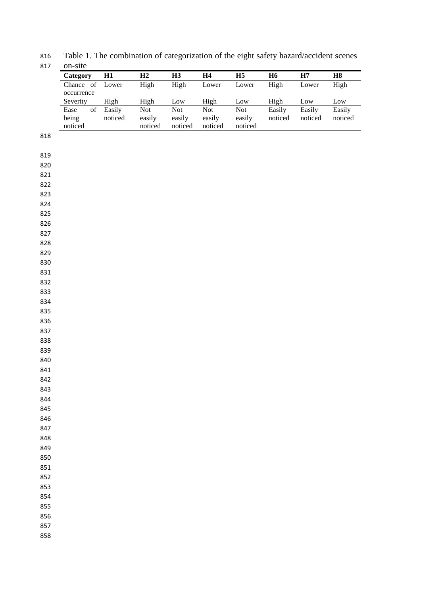Table 1. The combination of categorization of the eight safety hazard/accident scenes on-site

| UII-SILU     |         |         |         |         |            |           |         |         |
|--------------|---------|---------|---------|---------|------------|-----------|---------|---------|
| Category     | H1      | H2      | Н3      | Η4      | H5         | <b>H6</b> | Н7      | Η8      |
| of<br>Chance | Lower   | High    | High    | Lower   | Lower      | High      | Lower   | High    |
| occurrence   |         |         |         |         |            |           |         |         |
| Severity     | High    | High    | Low     | High    | Low        | High      | Low     | Low     |
| of<br>Ease   | Easily  | Not     | Not     | Not     | <b>Not</b> | Easily    | Easily  | Easily  |
| being        | noticed | easily  | easily  | easily  | easily     | noticed   | noticed | noticed |
| noticed      |         | noticed | noticed | noticed | noticed    |           |         |         |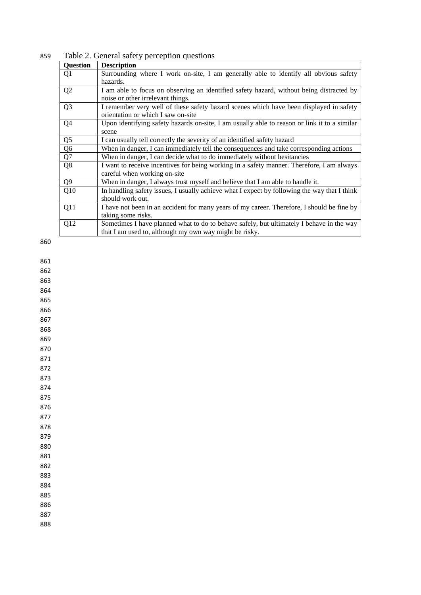| <b>Question</b> | <b>Description</b>                                                                                                                                 |
|-----------------|----------------------------------------------------------------------------------------------------------------------------------------------------|
| Q1              | Surrounding where I work on-site, I am generally able to identify all obvious safety<br>hazards.                                                   |
| Q2              | I am able to focus on observing an identified safety hazard, without being distracted by<br>noise or other irrelevant things.                      |
| Q <sub>3</sub>  | I remember very well of these safety hazard scenes which have been displayed in safety<br>orientation or which I saw on-site                       |
| Q4              | Upon identifying safety hazards on-site, I am usually able to reason or link it to a similar<br>scene                                              |
| Q <sub>5</sub>  | I can usually tell correctly the severity of an identified safety hazard                                                                           |
| Q <sub>6</sub>  | When in danger, I can immediately tell the consequences and take corresponding actions                                                             |
| Q7              | When in danger, I can decide what to do immediately without hesitancies                                                                            |
| Q <sub>8</sub>  | I want to receive incentives for being working in a safety manner. Therefore, I am always<br>careful when working on-site                          |
| Q <sub>9</sub>  | When in danger, I always trust myself and believe that I am able to handle it.                                                                     |
| Q10             | In handling safety issues, I usually achieve what I expect by following the way that I think<br>should work out.                                   |
| Q11             | I have not been in an accident for many years of my career. Therefore, I should be fine by<br>taking some risks.                                   |
| Q12             | Sometimes I have planned what to do to behave safely, but ultimately I behave in the way<br>that I am used to, although my own way might be risky. |

859 Table 2. General safety perception questions

860

861 862

863

864

865

866 867

868

869 870

871 872

873

874

875 876

877

878

879 880

881

882 883

884

885

886

887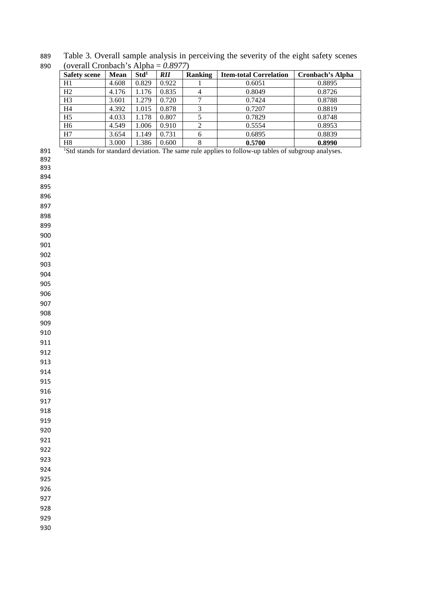Table 3. Overall sample analysis in perceiving the severity of the eight safety scenes (overall Cronbach's Alpha = *0.8977*)

| <b>Safety scene</b> | <b>Mean</b> | Std <sup>1</sup> | <b>RII</b> | <b>Ranking</b> | <b>Item-total Correlation</b> | <b>Cronbach's Alpha</b> |
|---------------------|-------------|------------------|------------|----------------|-------------------------------|-------------------------|
| H1                  | 4.608       | 0.829            | 0.922      |                | 0.6051                        | 0.8895                  |
| H2                  | 4.176       | 1.176            | 0.835      | $\overline{4}$ | 0.8049                        | 0.8726                  |
| H <sub>3</sub>      | 3.601       | 1.279            | 0.720      |                | 0.7424                        | 0.8788                  |
| H <sub>4</sub>      | 4.392       | 1.015            | 0.878      | 3              | 0.7207                        | 0.8819                  |
| H <sub>5</sub>      | 4.033       | 1.178            | 0.807      |                | 0.7829                        | 0.8748                  |
| H <sub>6</sub>      | 4.549       | 1.006            | 0.910      | ↑              | 0.5554                        | 0.8953                  |
| H7                  | 3.654       | 1.149            | 0.731      | 6              | 0.6895                        | 0.8839                  |
| H8                  | 3.000       | .386             | 0.600      | 8              | 0.5700                        | 0.8990                  |

891 <sup>1</sup>Std stands for standard deviation. The same rule applies to follow-up tables of subgroup analyses.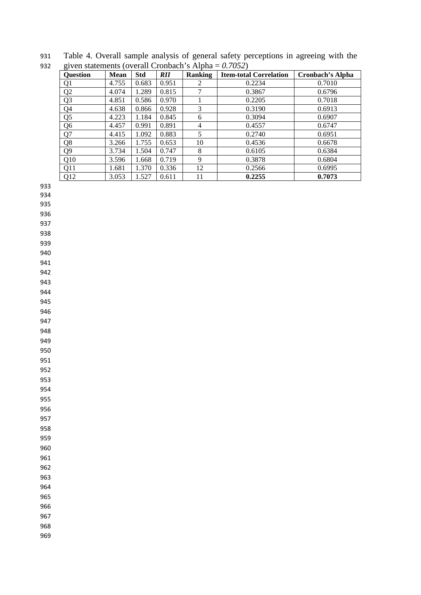Table 4. Overall sample analysis of general safety perceptions in agreeing with the given statements (overall Cronbach's Alpha = *0.7052*)

| <b>Question</b> | Mean  | <b>Std</b> | <i>RII</i> | Ranking        | <b>Item-total Correlation</b> | <b>Cronbach's Alpha</b> |
|-----------------|-------|------------|------------|----------------|-------------------------------|-------------------------|
| Q1              | 4.755 | 0.683      | 0.951      | 2              | 0.2234                        | 0.7010                  |
| Q <sub>2</sub>  | 4.074 | 1.289      | 0.815      |                | 0.3867                        | 0.6796                  |
| Q <sub>3</sub>  | 4.851 | 0.586      | 0.970      |                | 0.2205                        | 0.7018                  |
| Q4              | 4.638 | 0.866      | 0.928      | 3              | 0.3190                        | 0.6913                  |
| Q <sub>5</sub>  | 4.223 | 1.184      | 0.845      | 6              | 0.3094                        | 0.6907                  |
| Q <sub>6</sub>  | 4.457 | 0.991      | 0.891      | $\overline{4}$ | 0.4557                        | 0.6747                  |
| Q7              | 4.415 | 1.092      | 0.883      | 5              | 0.2740                        | 0.6951                  |
| Q <sub>8</sub>  | 3.266 | 1.755      | 0.653      | 10             | 0.4536                        | 0.6678                  |
| Q <sub>9</sub>  | 3.734 | 1.504      | 0.747      | 8              | 0.6105                        | 0.6384                  |
| Q10             | 3.596 | 1.668      | 0.719      | 9              | 0.3878                        | 0.6804                  |
| Q11             | 1.681 | 1.370      | 0.336      | 12             | 0.2566                        | 0.6995                  |
| Q12             | 3.053 | 1.527      | 0.611      | 11             | 0.2255                        | 0.7073                  |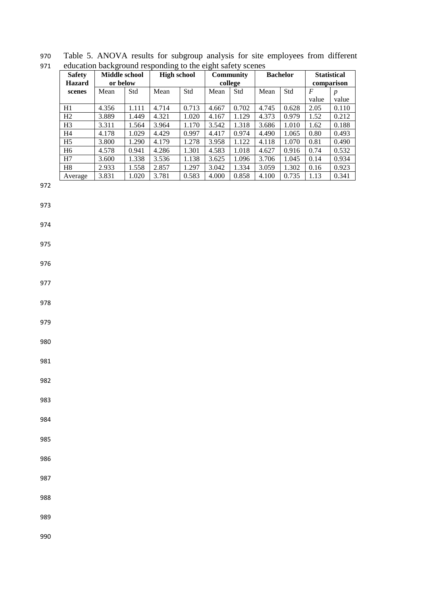| <b>Safety</b>  | Middle school |       | <b>High school</b> |       | <b>Community</b> |         |       | <b>Bachelor</b> | <b>Statistical</b> |                  |
|----------------|---------------|-------|--------------------|-------|------------------|---------|-------|-----------------|--------------------|------------------|
| <b>Hazard</b>  | or below      |       |                    |       |                  | college |       |                 | comparison         |                  |
| scenes         | Mean          | Std   | Mean               | Std   | Mean             | Std     | Mean  | Std             | F                  | $\boldsymbol{p}$ |
|                |               |       |                    |       |                  |         |       |                 | value              | value            |
| H1             | 4.356         | 1.111 | 4.714              | 0.713 | 4.667            | 0.702   | 4.745 | 0.628           | 2.05               | 0.110            |
| H2             | 3.889         | 1.449 | 4.321              | 1.020 | 4.167            | 1.129   | 4.373 | 0.979           | 1.52               | 0.212            |
| H <sub>3</sub> | 3.311         | 1.564 | 3.964              | 1.170 | 3.542            | 1.318   | 3.686 | 1.010           | 1.62               | 0.188            |
| H4             | 4.178         | 1.029 | 4.429              | 0.997 | 4.417            | 0.974   | 4.490 | 1.065           | 0.80               | 0.493            |
| H <sub>5</sub> | 3.800         | 1.290 | 4.179              | 1.278 | 3.958            | 1.122   | 4.118 | 1.070           | 0.81               | 0.490            |
| H <sub>6</sub> | 4.578         | 0.941 | 4.286              | 1.301 | 4.583            | 1.018   | 4.627 | 0.916           | 0.74               | 0.532            |
| H7             | 3.600         | 1.338 | 3.536              | 1.138 | 3.625            | 1.096   | 3.706 | 1.045           | 0.14               | 0.934            |
| H <sub>8</sub> | 2.933         | 1.558 | 2.857              | 1.297 | 3.042            | 1.334   | 3.059 | 1.302           | 0.16               | 0.923            |
| Average        | 3.831         | 1.020 | 3.781              | 0.583 | 4.000            | 0.858   | 4.100 | 0.735           | 1.13               | 0.341            |

970 Table 5. ANOVA results for subgroup analysis for site employees from different 971 education background responding to the eight safety scenes

972

973

974

975

976

977

978

979

980

981

982

983

984

985

986

987

988

989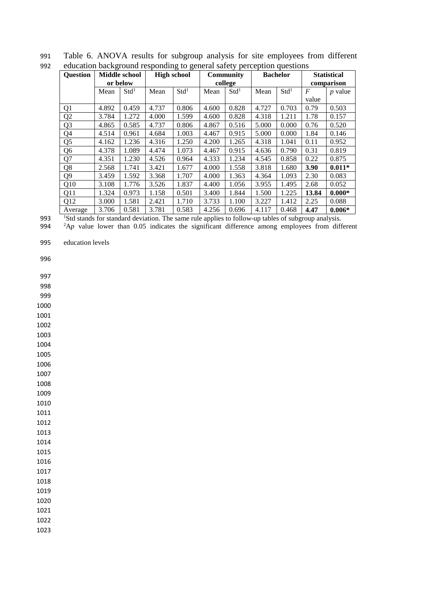|                 |       |                  | caacation outriground responding to general surety perception questions |                  |         |                  |       |                  |                    |           |
|-----------------|-------|------------------|-------------------------------------------------------------------------|------------------|---------|------------------|-------|------------------|--------------------|-----------|
| <b>Question</b> |       | Middle school    | <b>High school</b>                                                      |                  |         | <b>Community</b> |       | <b>Bachelor</b>  | <b>Statistical</b> |           |
|                 |       | or below         |                                                                         |                  | college |                  |       |                  | comparison         |           |
|                 | Mean  | Std <sup>1</sup> | Mean                                                                    | Std <sup>1</sup> | Mean    | Std <sup>1</sup> | Mean  | Std <sup>1</sup> | F                  | $p$ value |
|                 |       |                  |                                                                         |                  |         |                  |       |                  | value              |           |
| Q <sub>1</sub>  | 4.892 | 0.459            | 4.737                                                                   | 0.806            | 4.600   | 0.828            | 4.727 | 0.703            | 0.79               | 0.503     |
| Q2              | 3.784 | 1.272            | 4.000                                                                   | 1.599            | 4.600   | 0.828            | 4.318 | 1.211            | 1.78               | 0.157     |
| Q <sub>3</sub>  | 4.865 | 0.585            | 4.737                                                                   | 0.806            | 4.867   | 0.516            | 5.000 | 0.000            | 0.76               | 0.520     |
| Q <sub>4</sub>  | 4.514 | 0.961            | 4.684                                                                   | 1.003            | 4.467   | 0.915            | 5.000 | 0.000            | 1.84               | 0.146     |
| Q <sub>5</sub>  | 4.162 | 1.236            | 4.316                                                                   | 1.250            | 4.200   | 1.265            | 4.318 | 1.041            | 0.11               | 0.952     |
| Q <sub>6</sub>  | 4.378 | 1.089            | 4.474                                                                   | 1.073            | 4.467   | 0.915            | 4.636 | 0.790            | 0.31               | 0.819     |
| Q7              | 4.351 | 1.230            | 4.526                                                                   | 0.964            | 4.333   | 1.234            | 4.545 | 0.858            | 0.22               | 0.875     |
| Q8              | 2.568 | 1.741            | 3.421                                                                   | 1.677            | 4.000   | 1.558            | 3.818 | 1.680            | 3.90               | $0.011*$  |
| Q <sub>9</sub>  | 3.459 | 1.592            | 3.368                                                                   | 1.707            | 4.000   | 1.363            | 4.364 | 1.093            | 2.30               | 0.083     |
| Q10             | 3.108 | 1.776            | 3.526                                                                   | 1.837            | 4.400   | 1.056            | 3.955 | 1.495            | 2.68               | 0.052     |
| Q11             | 1.324 | 0.973            | 1.158                                                                   | 0.501            | 3.400   | 1.844            | 1.500 | 1.225            | 13.84              | $0.000*$  |
| Q12             | 3.000 | 1.581            | 2.421                                                                   | 1.710            | 3.733   | 1.100            | 3.227 | 1.412            | 2.25               | 0.088     |
| Average         | 3.706 | 0.581            | 3.781                                                                   | 0.583            | 4.256   | 0.696            | 4.117 | 0.468            | 4.47               | $0.006*$  |

991 Table 6. ANOVA results for subgroup analysis for site employees from different 992 education background responding to general safety perception questions

<sup>1</sup>Std stands for standard deviation. The same rule applies to follow-up tables of subgroup analysis.

994  ${}^{2}$ A $p$  value lower than 0.05 indicates the significant difference among employees from different

995 education levels

996

997

998

999

1000

1001 1002

1003

1004

1005 1006

1007

1008

1009 1010

1011

1012

1013 1014

1015

1016 1017

1018

1019

1020

1021

1022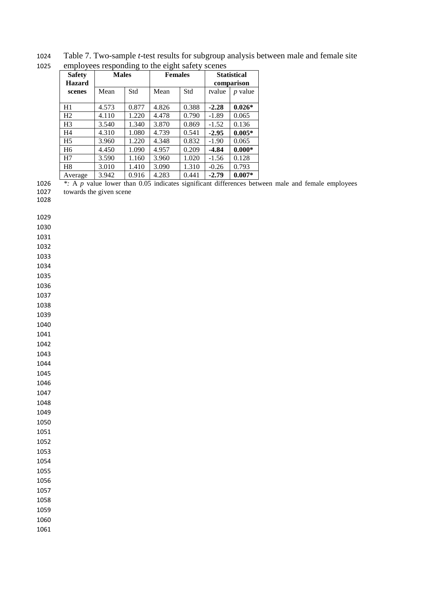Table 7. Two-sample *t*-test results for subgroup analysis between male and female site

| 1025 | employees responding to the eight safety scenes |              |       |                |       |                                  |           |  |  |  |  |
|------|-------------------------------------------------|--------------|-------|----------------|-------|----------------------------------|-----------|--|--|--|--|
|      | <b>Safety</b><br><b>Hazard</b>                  | <b>Males</b> |       | <b>Females</b> |       | <b>Statistical</b><br>comparison |           |  |  |  |  |
|      | scenes                                          | Mean         | Std   | Mean           | Std   | tvalue                           | $p$ value |  |  |  |  |
|      | H1                                              | 4.573        | 0.877 | 4.826          | 0.388 | $-2.28$                          | $0.026*$  |  |  |  |  |
|      | H <sub>2</sub>                                  | 4.110        | 1.220 | 4.478          | 0.790 | $-1.89$                          | 0.065     |  |  |  |  |
|      | H <sub>3</sub>                                  | 3.540        | 1.340 | 3.870          | 0.869 | $-1.52$                          | 0.136     |  |  |  |  |
|      | H4                                              | 4.310        | 1.080 | 4.739          | 0.541 | $-2.95$                          | $0.005*$  |  |  |  |  |
|      | H <sub>5</sub>                                  | 3.960        | 1.220 | 4.348          | 0.832 | $-1.90$                          | 0.065     |  |  |  |  |
|      | H <sub>6</sub>                                  | 4.450        | 1.090 | 4.957          | 0.209 | $-4.84$                          | $0.000*$  |  |  |  |  |
|      | H7                                              | 3.590        | 1.160 | 3.960          | 1.020 | $-1.56$                          | 0.128     |  |  |  |  |
|      | H <sub>8</sub>                                  | 3.010        | 1.410 | 3.090          | 1.310 | $-0.26$                          | 0.793     |  |  |  |  |
|      | Average                                         | 3.942        | 0.916 | 4.283          | 0.441 | $-2.79$                          | $0.007*$  |  |  |  |  |

 *\*:* A *p* value lower than 0.05 indicates significant differences between male and female employees towards the given scene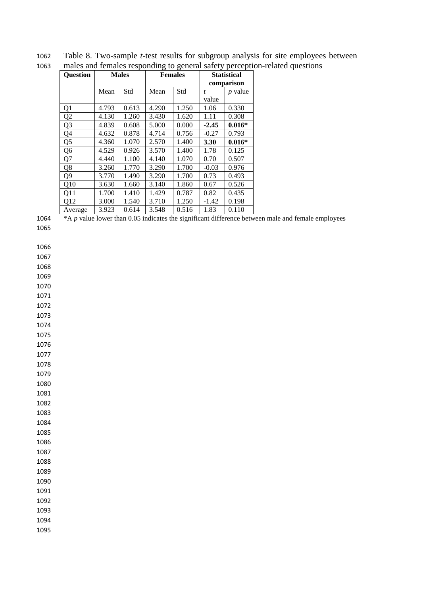| <b>Question</b> |       | <b>Males</b> |       | <b>Females</b> | <b>Statistical</b> |                |  |
|-----------------|-------|--------------|-------|----------------|--------------------|----------------|--|
|                 |       |              |       |                |                    | comparison     |  |
|                 | Mean  | Std          | Mean  | Std            | t.                 | <i>p</i> value |  |
|                 |       |              |       |                | value              |                |  |
| Q1              | 4.793 | 0.613        | 4.290 | 1.250          | 1.06               | 0.330          |  |
| Q <sub>2</sub>  | 4.130 | 1.260        | 3.430 | 1.620          | 1.11               | 0.308          |  |
| Q3              | 4.839 | 0.608        | 5.000 | 0.000          | $-2.45$            | $0.016*$       |  |
| Q4              | 4.632 | 0.878        | 4.714 | 0.756          | $-0.27$            | 0.793          |  |
| Q5              | 4.360 | 1.070        | 2.570 | 1.400          | 3.30               | $0.016*$       |  |
| Q6              | 4.529 | 0.926        | 3.570 | 1.400          | 1.78               | 0.125          |  |
| Q7              | 4.440 | 1.100        | 4.140 | 1.070          | 0.70               | 0.507          |  |
| Q8              | 3.260 | 1.770        | 3.290 | 1.700          | $-0.03$            | 0.976          |  |
| Q9              | 3.770 | 1.490        | 3.290 | 1.700          | 0.73               | 0.493          |  |
| Q10             | 3.630 | 1.660        | 3.140 | 1.860          | 0.67               | 0.526          |  |
| Q11             | 1.700 | 1.410        | 1.429 | 0.787          | 0.82               | 0.435          |  |
| Q12             | 3.000 | 1.540        | 3.710 | 1.250          | $-1.42$            | 0.198          |  |
| Average         | 3.923 | 0.614        | 3.548 | 0.516          | 1.83               | 0.110          |  |

 Table 8. Two-sample *t-*test results for subgroup analysis for site employees between males and females responding to general safety perception-related questions

<sup>\*</sup>A *p* value lower than 0.05 indicates the significant difference between male and female employees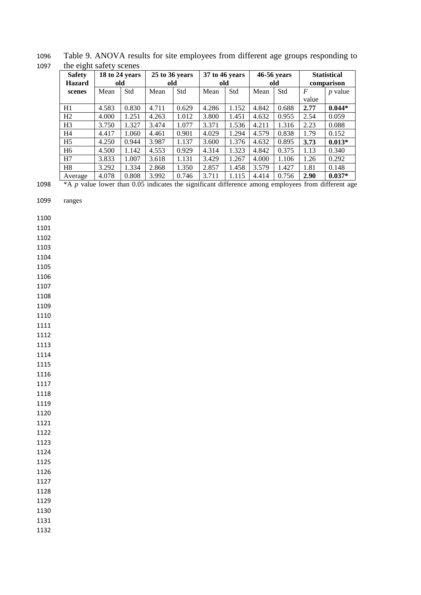1096 Table 9. ANOVA results for site employees from different age groups responding to 1097 the eight safety scenes

| -0-            |                |       |                |       |                |       |       |             |                |                    |  |
|----------------|----------------|-------|----------------|-------|----------------|-------|-------|-------------|----------------|--------------------|--|
| <b>Safety</b>  | 18 to 24 years |       | 25 to 36 years |       | 37 to 46 years |       |       | 46-56 years |                | <b>Statistical</b> |  |
| <b>Hazard</b>  | old            |       | old            |       | old            |       | old   |             | comparison     |                    |  |
| scenes         | Mean           | Std   | Mean           | Std   | Mean           | Std   | Mean  | Std         | $\overline{F}$ | $p$ value          |  |
|                |                |       |                |       |                |       |       |             | value          |                    |  |
| H1             | 4.583          | 0.830 | 4.711          | 0.629 | 4.286          | 1.152 | 4.842 | 0.688       | 2.77           | $0.044*$           |  |
| H2             | 4.000          | 1.251 | 4.263          | 1.012 | 3.800          | 1.451 | 4.632 | 0.955       | 2.54           | 0.059              |  |
| H <sub>3</sub> | 3.750          | 1.327 | 3.474          | 1.077 | 3.371          | 1.536 | 4.211 | 1.316       | 2.23           | 0.088              |  |
| H <sub>4</sub> | 4.417          | 1.060 | 4.461          | 0.901 | 4.029          | 1.294 | 4.579 | 0.838       | 1.79           | 0.152              |  |
| H <sub>5</sub> | 4.250          | 0.944 | 3.987          | 1.137 | 3.600          | 1.376 | 4.632 | 0.895       | 3.73           | $0.013*$           |  |
| H <sub>6</sub> | 4.500          | 1.142 | 4.553          | 0.929 | 4.314          | 1.323 | 4.842 | 0.375       | 1.13           | 0.340              |  |
| H7             | 3.833          | 1.007 | 3.618          | 1.131 | 3.429          | 1.267 | 4.000 | 1.106       | 1.26           | 0.292              |  |
| H <sub>8</sub> | 3.292          | 1.334 | 2.868          | 1.350 | 2.857          | 1.458 | 3.579 | 1.427       | 1.81           | 0.148              |  |
| Average        | 4.078          | 0.808 | 3.992          | 0.746 | 3.711          | 1.115 | 4.414 | 0.756       | 2.90           | $0.037*$           |  |

1098 \*A *p* value lower than 0.05 indicates the significant difference among employees from different age

1100

1101

1102

1103

1104

1105

1106 1107

1108

1109

1110

1111

1112

1113

1114 1115

1116

1117

1118 1119

1120

1121

1122

1123

1124 1125

1126

1127

1128

1129

1130

1131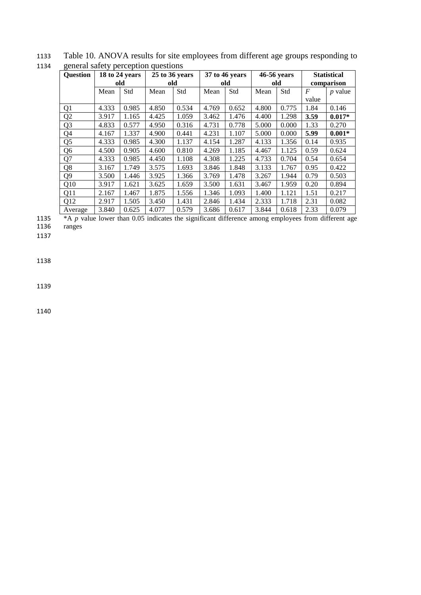| <b>Question</b> |       | 18 to 24 years |       | 25 to 36 years |       | 37 to 46 years |       | 46-56 years | <b>Statistical</b> |           |
|-----------------|-------|----------------|-------|----------------|-------|----------------|-------|-------------|--------------------|-----------|
|                 | old   |                | old   |                | old   |                | old   |             | comparison         |           |
|                 | Mean  | Std            | Mean  | Std            | Mean  | Std            | Mean  | Std         | $\boldsymbol{F}$   | $p$ value |
|                 |       |                |       |                |       |                |       |             | value              |           |
| Q <sub>1</sub>  | 4.333 | 0.985          | 4.850 | 0.534          | 4.769 | 0.652          | 4.800 | 0.775       | 1.84               | 0.146     |
| Q2              | 3.917 | 1.165          | 4.425 | 1.059          | 3.462 | 1.476          | 4.400 | 1.298       | 3.59               | $0.017*$  |
| Q <sub>3</sub>  | 4.833 | 0.577          | 4.950 | 0.316          | 4.731 | 0.778          | 5.000 | 0.000       | 1.33               | 0.270     |
| Q4              | 4.167 | 1.337          | 4.900 | 0.441          | 4.231 | 1.107          | 5.000 | 0.000       | 5.99               | $0.001*$  |
| Q <sub>5</sub>  | 4.333 | 0.985          | 4.300 | 1.137          | 4.154 | 1.287          | 4.133 | 1.356       | 0.14               | 0.935     |
| Q <sub>6</sub>  | 4.500 | 0.905          | 4.600 | 0.810          | 4.269 | 1.185          | 4.467 | 1.125       | 0.59               | 0.624     |
| Q7              | 4.333 | 0.985          | 4.450 | 1.108          | 4.308 | 1.225          | 4.733 | 0.704       | 0.54               | 0.654     |
| Q8              | 3.167 | 1.749          | 3.575 | 1.693          | 3.846 | 1.848          | 3.133 | 1.767       | 0.95               | 0.422     |
| Q <sub>9</sub>  | 3.500 | 1.446          | 3.925 | 1.366          | 3.769 | 1.478          | 3.267 | 1.944       | 0.79               | 0.503     |
| Q10             | 3.917 | 1.621          | 3.625 | 1.659          | 3.500 | 1.631          | 3.467 | 1.959       | 0.20               | 0.894     |
| Q11             | 2.167 | 1.467          | 1.875 | 1.556          | 1.346 | 1.093          | 1.400 | 1.121       | 1.51               | 0.217     |
| Q12             | 2.917 | 1.505          | 3.450 | 1.431          | 2.846 | 1.434          | 2.333 | 1.718       | 2.31               | 0.082     |
| Average         | 3.840 | 0.625          | 4.077 | 0.579          | 3.686 | 0.617          | 3.844 | 0.618       | 2.33               | 0.079     |

1133 Table 10. ANOVA results for site employees from different age groups responding to 1134 general safety perception questions

1135 \*A *p* value lower than 0.05 indicates the significant difference among employees from different age 1136 ranges

1137

1138

1139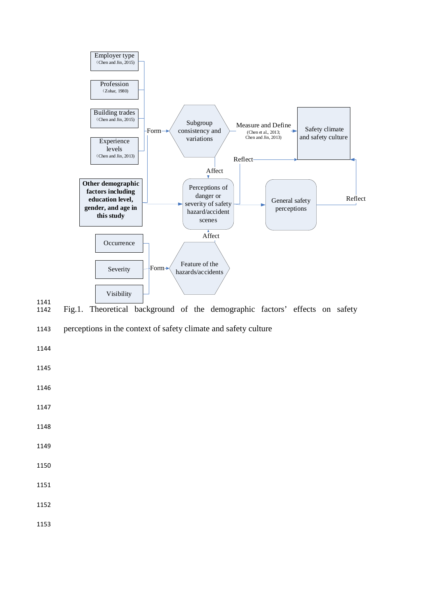

1141<br>1142 Fig.1. Theoretical background of the demographic factors' effects on safety

1143 perceptions in the context of safety climate and safety culture

1144

1145

1146

1147

1148

1149

1150

1151

1152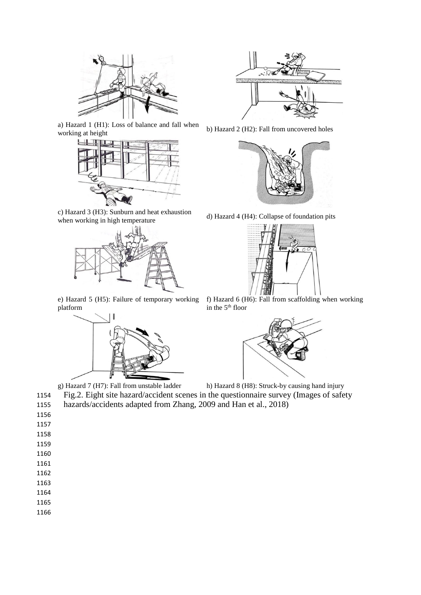

a) Hazard 1 (H1): Loss of balance and fall when a) Hazard 1 (H1): Loss of balance and fall when b) Hazard 2 (H2): Fall from uncovered holes working at height



c) Hazard 3 (H3): Sunburn and heat exhaustion



e) Hazard 5 (H5): Failure of temporary working platform







d) Hazard 4 (H4): Collapse of foundation pits



f) Hazard 6 (H6): Fall from scaffolding when working in the 5th floor



g) Hazard 7 (H7): Fall from unstable ladder h) Hazard 8 (H8): Struck-by causing hand injury 1154 Fig.2. Eight site hazard/accident scenes in the questionnaire survey (Images of safety 1155 hazards/accidents adapted from Zhang, 2009 and Han et al., 2018)

- 1156 1157 1158 1159
- 1160
- 1161
- 1162

- 1164
- 1165
- 1166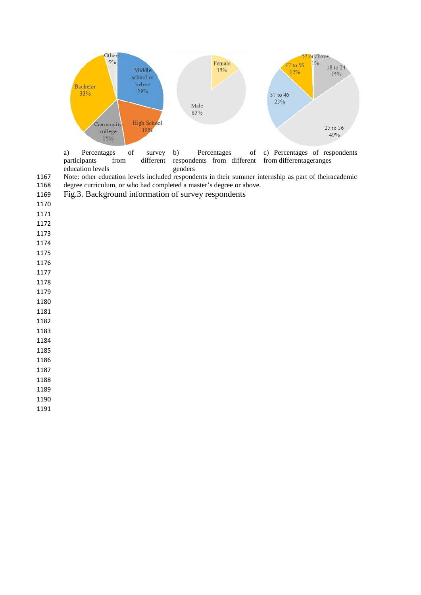

a) Percentages of survey participants from different education levels b) Percentages of respondents from different genders c) Percentages of respondents from differentageranges

Note: other education levels included respondents in their summer internship as part of theiracademic

degree curriculum, or who had completed a master's degree or above.

Fig.3. Background information of survey respondents

- 
- 
- 
- 
- 
- 
- 
- 
- 
- 
- 
- 
- 
- 
- 

 

- 
- 
-